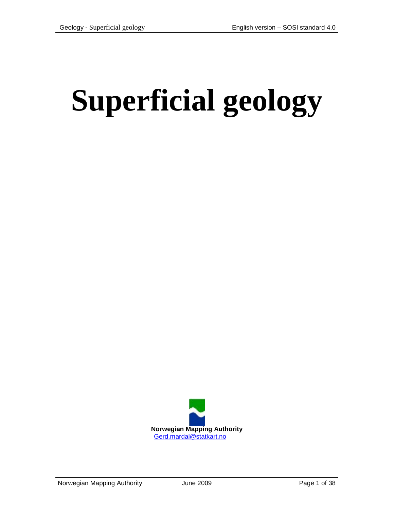# **Superficial geology**

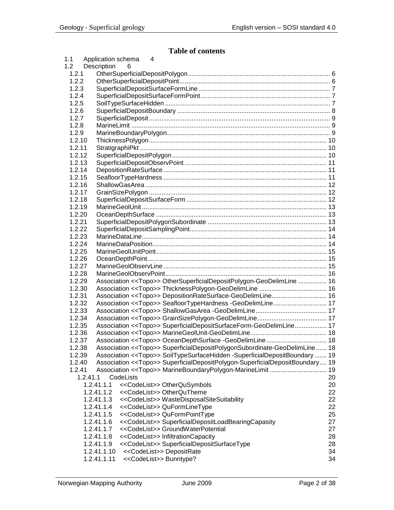# **Table of contents**

| 1.1    |          | Application schema<br>4                                                                 |    |
|--------|----------|-----------------------------------------------------------------------------------------|----|
| 1.2    |          | Description<br>6                                                                        |    |
| 1.2.1  |          |                                                                                         |    |
| 1.2.2  |          |                                                                                         |    |
| 1.2.3  |          |                                                                                         |    |
| 1.2.4  |          |                                                                                         |    |
| 1.2.5  |          |                                                                                         |    |
| 1.2.6  |          |                                                                                         |    |
| 1.2.7  |          |                                                                                         |    |
| 1.2.8  |          |                                                                                         |    |
| 1.2.9  |          |                                                                                         |    |
| 1.2.10 |          |                                                                                         |    |
| 1.2.11 |          |                                                                                         |    |
| 1.2.12 |          |                                                                                         |    |
| 1.2.13 |          |                                                                                         |    |
| 1.2.14 |          |                                                                                         |    |
| 1.2.15 |          |                                                                                         |    |
| 1.2.16 |          |                                                                                         |    |
| 1.2.17 |          |                                                                                         |    |
| 1.2.18 |          |                                                                                         |    |
| 1.2.19 |          |                                                                                         |    |
| 1.2.20 |          |                                                                                         |    |
| 1.2.21 |          |                                                                                         |    |
| 1.2.22 |          |                                                                                         |    |
| 1.2.23 |          |                                                                                         |    |
| 1.2.24 |          |                                                                                         |    |
| 1.2.25 |          |                                                                                         |    |
| 1.2.26 |          |                                                                                         |    |
| 1.2.27 |          |                                                                                         |    |
| 1.2.28 |          |                                                                                         |    |
| 1.2.29 |          | Association << Topo>> OtherSuperficialDepositPolygon-GeoDelimLine  16                   |    |
| 1.2.30 |          |                                                                                         |    |
| 1.2.31 |          | Association < <topo>&gt; DepositionRateSurface-GeoDelimLine 16</topo>                   |    |
| 1.2.32 |          | Association < <topo>&gt; SeafloorTypeHardness -GeoDelimLine 17</topo>                   |    |
| 1.2.33 |          |                                                                                         |    |
| 1.2.34 |          |                                                                                         |    |
| 1.2.35 |          | Association << Topo>> SuperficialDepositSurfaceForm-GeoDelimLine 17                     |    |
| 1.2.36 |          |                                                                                         |    |
| 1.2.37 |          |                                                                                         |    |
| 1.2.38 |          | Association < <topo>&gt; SuperficialDepositPolygonSubordinate-GeoDelimLine 18</topo>    |    |
| 1.2.39 |          | Association << Topo>> SoilTypeSurfaceHidden -SuperficialDepositBoundary 19              |    |
| 1.2.40 |          | Association < <topo>&gt; SuperficialDepositPolygon-SuperficialDepositBoundary 19</topo> |    |
| 1.2.41 |          |                                                                                         | 19 |
|        | 1.2.41.1 | CodeLists                                                                               | 20 |
|        |          | 1.2.41.1.1<br>< <codelist>&gt; OtherQuSymbols</codelist>                                | 20 |
|        |          | < <codelist>&gt; OtherQuTheme<br/>1.2.41.1.2</codelist>                                 | 22 |
|        |          | << CodeList>> WasteDisposalSiteSuitability<br>1.2.41.1.3                                | 22 |
|        |          | 1.2.41.1.4<br><< CodeList>> QuFormLineType                                              | 22 |
|        |          | << CodeList>> QuFormPointType<br>1.2.41.1.5                                             | 25 |
|        |          | << CodeList>> SuperficialDepositLoadBearingCapasity<br>1.2.41.1.6                       | 27 |
|        |          | < <codelist>&gt; GroundWaterPotential<br/>1.2.41.1.7</codelist>                         | 27 |
|        |          | << CodeList>> Infiltration Capacity<br>1.2.41.1.8                                       | 28 |
|        |          | 1.2.41.1.9<br>< <codelist>&gt; SuperficialDepositSurfaceType</codelist>                 | 28 |
|        |          | 1.2.41.1.10<br><< CodeList>> DepositRate                                                | 34 |
|        |          | 1.2.41.1.11<br><< CodeList>> Bunntype?                                                  | 34 |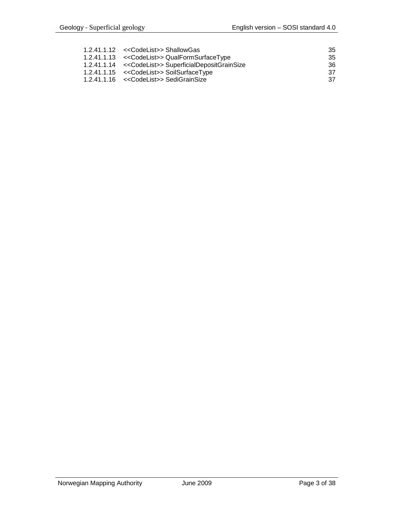| 1.2.41.1.12 < <codelist>&gt; ShallowGas</codelist>       | -35  |
|----------------------------------------------------------|------|
| 1.2.41.1.13 << CodeList>> QualFormSurfaceType            | -35  |
| 1.2.41.1.14 << CodeList>> Superficial Deposit Grain Size | -36  |
| 1.2.41.1.15 < <codelist>&gt; SoilSurfaceType</codelist>  | - 37 |
| 1.2.41.1.16 << CodeList>> SediGrainSize                  | - 37 |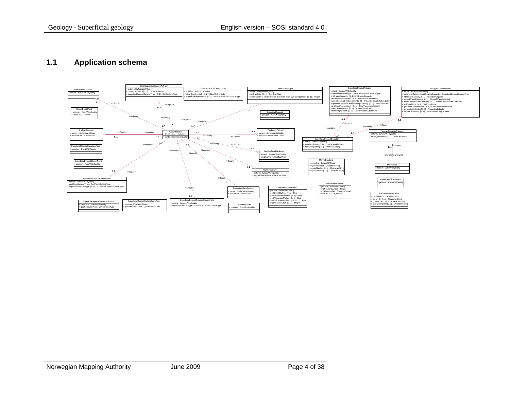#### **1.1 Application schema**

<span id="page-3-0"></span>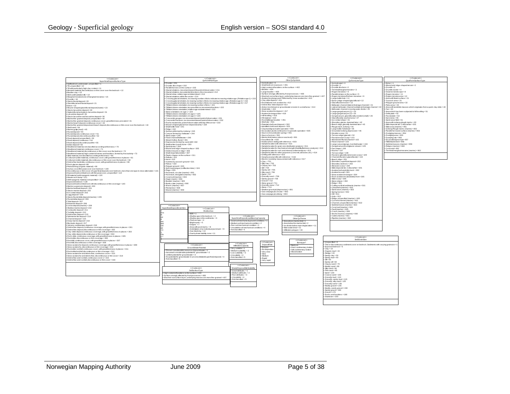| < <codelist></codelist>                                                                                         |      |                                                   | < <codelist>&gt;</codelist>                                                                                     |                                           |                                               | < <codelist>&gt;</codelist>                                                   |            | < <codelist>&gt;</codelist>                                                         | < <codelist>&gt;</codelist>                                                       |
|-----------------------------------------------------------------------------------------------------------------|------|---------------------------------------------------|-----------------------------------------------------------------------------------------------------------------|-------------------------------------------|-----------------------------------------------|-------------------------------------------------------------------------------|------------|-------------------------------------------------------------------------------------|-----------------------------------------------------------------------------------|
| SuperficialDepositSurfaceType                                                                                   |      |                                                   | QuFormPointType                                                                                                 |                                           |                                               | Other QuSymbols                                                               |            | QuFormLineType                                                                      | QualFormSurfaceTvpe                                                               |
|                                                                                                                 |      |                                                   |                                                                                                                 |                                           | $+$ Notindicated $= 0$                        |                                                                               |            |                                                                                     |                                                                                   |
| Soilbedrock underwater, unspecified = 1                                                                         |      | $Drumlin = 201$                                   |                                                                                                                 |                                           |                                               |                                                                               |            | Not indicated = 0                                                                   | $E$ sker = 1                                                                      |
| Till, unspecified = 10                                                                                          |      | Drumlin-like shape = 202                          |                                                                                                                 |                                           | Small bedrock exposure = 401                  |                                                                               |            | Drumin = 1                                                                          | Mound and ridge-shaped terrain = 2                                                |
| Till with particularly high clay content=11                                                                     |      | Parallel furrows on the surface = 203             |                                                                                                                 |                                           |                                               | High content of boulders on the surface = 402                                 |            | Drumlin-like form = 2                                                               | + Drumlin = 3                                                                     |
|                                                                                                                 |      |                                                   | Glacial striations, movement toward the point of observation = 211                                              |                                           | Boulder = 404                                 |                                                                               |            | Terminal/marginal moraine = 3                                                       | Drumlin cluster = 4                                                               |
| Moraine material, discontinuous or thin cover over the bedrock = 12                                             |      |                                                   | Glacial stiations, two potential directions ofice movement=212                                                  |                                           | + Large boulder = 405                         |                                                                               |            | Rogen moraines = 4                                                                  | + Dead ice landscape = 8                                                          |
| Boulder clay = 13                                                                                               |      |                                                   |                                                                                                                 |                                           |                                               | Surface strongly affected by frostprocesses = 406                             |            | Parallel stripes on the surface = 5                                                 |                                                                                   |
| + Melbouttil (ablation til) = 14                                                                                |      | Glacial stiae, relative age not determined = 213  |                                                                                                                 |                                           |                                               |                                                                               |            |                                                                                     | + Rogen moraine = 11                                                              |
| + Marginal moraine/zone of marginal moraines = 15                                                               |      | Glacial striations within the sector = 214        |                                                                                                                 |                                           |                                               | + Washed-outsurface layer, underlying masses are more fine-grained = 407      |            | Rogen moraines/DeGeer moraines = 6                                                  | + Rogen moraine area = 12                                                         |
| $h = 16$                                                                                                        |      |                                                   | Crossing glacial striations, increasing number officks indicate increasing relative age. (Relative age 1) = 215 |                                           |                                               | Avalanche plunge pool/Pitformed by snow avalanche = 410                       |            | Large kette bole = 11                                                               | Area with futed surface = 21                                                      |
|                                                                                                                 |      |                                                   | Crossing glacial striation, increasing number officks increasing relative age. (Relative age 2) = 216           |                                           | Clay slide deposit = 411                      |                                                                               |            | Esker (ridge-shaped glaciofluvial = 12                                              | + Tussock area = 31                                                               |
| Glacio-fuvial deposit= 20                                                                                       |      |                                                   |                                                                                                                 |                                           | Rockfall and rock avalanche = 412             |                                                                               |            | Glaciofluvial erosion = 13                                                          | Polygon ground area = 32                                                          |
| + Glaciofluvial and fluvial deposit=21                                                                          |      |                                                   | Crossing glacial striation, increasing number officks increasing relative age. (Relative age 3) = 217           |                                           |                                               |                                                                               |            |                                                                                     |                                                                                   |
| Esker = 22                                                                                                      |      |                                                   | Til fabric/stone orientation, increasing number of ticks = 221                                                  |                                           | Debris fow / lobe deposit= 413                |                                                                               |            | Mehwater channel (lateral drainage channel) = 21                                    | + Palsa area = 33                                                                 |
| + Mound-shaped glaciofuvial deposit (kame) = 23                                                                 |      |                                                   | Till fabric/stone orientation, two possible ice movement directions = 222                                       |                                           |                                               | + Active river/stream or groundwater erosion in a small area = 414            |            | Lateral melt water channel (unilateral drainage channel = 22                        | + Area with landslide masses which originates from a quick clay slide = 43        |
|                                                                                                                 |      |                                                   | Til fabric/stone orientation: relative age not determined = 223                                                 |                                           | $s$ mall slide = 415                          |                                                                               |            | Meltwater channel crossing water divide = 23                                        | $+ Fan = 44$                                                                      |
| Glacio-lacustrine deposit=30                                                                                    |      |                                                   |                                                                                                                 |                                           | + Snow avalanche deposit = 417                |                                                                               |            |                                                                                     |                                                                                   |
| + Gglaciofluvial and glacio-lacustrine deposit= 31                                                              |      | Stone orientation: rel.age 1 = 224                |                                                                                                                 |                                           |                                               |                                                                               |            | Large gorge/canyon (1) = 24                                                         | + Area which has been subjected to hill leveling = 51                             |
| Lacustrine deposit = 35                                                                                         |      | Til fabric/stone orientation; rel. age 2 = 225    |                                                                                                                 |                                           | Avalanche tongue lobe = 418                   |                                                                               |            | Large gorge/canyon (2) = 25                                                         | $+$ Delta plain = 52                                                              |
| Glacio-lacustrine and lacustrine deposit=36                                                                     |      | Til fabric/stone orientation; rel. age 3 = 226    |                                                                                                                 |                                           | + Hilleyelling = 419                          |                                                                               |            | Gorge/canyon, glaciofluvially eroded (small) = 26                                   | + Fluvial plain = 53                                                              |
|                                                                                                                 |      |                                                   | Crescentic gouges, ice movement toward point of observation = 231                                               |                                           | $+$ Fill material $=$ 420                     |                                                                               |            | Glaciofluvially washed area = 27                                                    | + Karstarea = 55                                                                  |
| Marine fine-grained deposit, unspecified = 40                                                                   |      |                                                   |                                                                                                                 |                                           | + Rockfallfarge boulder = 451                 |                                                                               |            | + ice contacts lope = 41                                                            | Sand wave feld = 61                                                               |
| Marine fine-grained deposit continuous cover, great hickness prevalent=41                                       |      |                                                   | Crescentic fractures, ice movement toward point of observation = 232                                            |                                           | $-5$ helisin $-501$                           |                                                                               |            |                                                                                     |                                                                                   |
| Marine beach deposit continuous cover = 42                                                                      |      |                                                   | Roche moutonnée, point of observation at the tip of the arrow = 233                                             |                                           |                                               |                                                                               |            | Shoreline, glacier-dammed lake = 42                                                 | Area with iceberg plough marks = 63                                               |
| Marine fine-grained depositand beach deposit discontinuous or thin cover over the bedrock = 43                  |      | Mound-shaped glacial river deposit (kame) = 234   |                                                                                                                 |                                           | Potental shell sand deposit = 502             |                                                                               |            | Beach ridge, glacially dammed lake = 43                                             | Slide deposits fan. Colluvial fan = 301                                           |
|                                                                                                                 |      | Small kette-hole = 241                            |                                                                                                                 |                                           | Identified shell sand deposit = 503           |                                                                               |            |                                                                                     | Side area (marine) = 951                                                          |
| $+$ Shell sand $=$ 44                                                                                           |      |                                                   |                                                                                                                 |                                           | + Clay/sand/gravel pitin operation = 504      |                                                                               |            | + Plough mark, iceberg = 44<br>+ Large kette-holedead = 45                          |                                                                                   |
| + Marine gytja (mud) = 45                                                                                       |      | $Ridge = 242$                                     |                                                                                                                 |                                           |                                               | . Excavation nit discontinued or in sporadic operation = 505                  |            | Grounded iceberg depression = 46                                                    | + Iceberg Plough marks (marine) = 952<br>Parallel-furrowed surface (marine) = 953 |
| + Fluvial deposit = 50                                                                                          |      | Sunken pitformed by iceberg = 243                 |                                                                                                                 |                                           |                                               |                                                                               |            |                                                                                     |                                                                                   |
| Fluvial deposit continuous cover = 51                                                                           |      | Canyon formed by meltwater = 244                  |                                                                                                                 |                                           | Source (Groundwater spring) = 551             |                                                                               |            | $N$ ivation scarn = 51                                                              | + Dredging masses = 954                                                           |
|                                                                                                                 |      | Stone stripe = 245                                |                                                                                                                 |                                           | Source horizon = 552                          |                                                                               |            | Terrace edge (glacial) = 52                                                         | + Dredging area = 955                                                             |
| + Fluvial deposit discontinuous/thin = 52                                                                       |      | Flood channelimebyater = 246                      |                                                                                                                 |                                           | + Marine limit (metres above sea level) = 601 |                                                                               |            | Fluvial erosion scarp = 101                                                         | + Dumping site = 956                                                              |
| Flood deposit (unspecified) = 53                                                                                |      |                                                   |                                                                                                                 |                                           |                                               |                                                                               |            |                                                                                     |                                                                                   |
| + Flood deposit, continuous = 54                                                                                |      | Streamhollow fuvial = 301                         |                                                                                                                 |                                           | $F$ ossil find site = 602                     |                                                                               |            | Abondoned fluvial channel = 102                                                     | + Excavation/gravel pit = 957                                                     |
| Flood deposit, discontinuous/hin = 55                                                                           |      | Depression formed by sand drift = 302             |                                                                                                                 |                                           | +Radiocarbon-dating with reference =603       |                                                                               |            | Flood channel = 103                                                                 | FillEmbankment=958                                                                |
|                                                                                                                 |      | Small eolian (sand) dune = 303                    |                                                                                                                 |                                           | Sample location with reference = 610          |                                                                               |            | Large canyon/gorge, river/melt water = 104                                          | Sedimentwaves (marine) = 959                                                      |
| Eolian deposit = 60                                                                                             |      |                                                   |                                                                                                                 |                                           |                                               | Sample location for grain size distribution analysis = 611                    |            | Gorge/canyon/river/glacier stream = 105                                             | + Ridges (marine) = 960                                                           |
| Weathered material, not classified according to thickness = 70                                                  |      | Sand dunes = 304                                  |                                                                                                                 |                                           |                                               |                                                                               |            |                                                                                     |                                                                                   |
| Weathered material, continuous cover = 71                                                                       |      | Mound and ridge-shaped surface = 305              |                                                                                                                 |                                           |                                               | Sample location for mechanical strength (friability flakiness analysis) = 612 |            | Fan shape = 106                                                                     | Coral reef = 961                                                                  |
| Weathered material, discontinuous or thin cover over the bedrock = 72                                           |      | + Distinct mound or ridge = 306                   |                                                                                                                 |                                           |                                               | Sample location for rock and mineral content analysis = 613                   |            | $Rxvine = 107$                                                                      | Terminal/marginal moraine (marine) = 962                                          |
|                                                                                                                 |      | Small slope failure/slide = 307                   |                                                                                                                 |                                           |                                               | Sample location for other purposes (concrete, abrasion, etc.) = 614           |            | Terrace edge = 108                                                                  |                                                                                   |
| +Weathered material, high content of stones and boulders, formed by frost activity = 73                         |      |                                                   |                                                                                                                 |                                           | + Drilling with reference = 615               |                                                                               |            | Fluvial or glaciofluvial erosion scarp = 109                                        |                                                                                   |
| Side material, not classified according to thickness = 80                                                       |      | Plastic shapes on the surface = 311               |                                                                                                                 |                                           |                                               |                                                                               |            |                                                                                     |                                                                                   |
| Colluvium (slide material), continuous cover, with great thickness in places = 81                               |      | Pothole = 312                                     |                                                                                                                 |                                           | + Geophysical profile with reference = 616    |                                                                               |            | + Channel (fluvial or glaciofluvial) = 110                                          |                                                                                   |
|                                                                                                                 |      | Karst=313                                         |                                                                                                                 |                                           |                                               | + Electric resistivity measurement with reference = 617                       |            | Beach ridge = 201                                                                   |                                                                                   |
| Colluvium (slide material), discontinuous or thin cover over the bedrock = 82                                   |      | Hummocky tussock ground = 321                     |                                                                                                                 |                                           | $+$ Clav = $701$                              |                                                                               |            | + Shoreline, superficial deposit= 202                                               |                                                                                   |
| Debris fow landslide, continuous cover, with great hickness in places = 86                                      |      |                                                   |                                                                                                                 |                                           |                                               |                                                                               |            |                                                                                     |                                                                                   |
| Rock glacier deposit=88                                                                                         |      | $Palsas = 322$                                    |                                                                                                                 |                                           | $+$ Sity clay = $702$                         |                                                                               |            | + Shoreline, bedrock = 203                                                          |                                                                                   |
| Peatand bog (organic material) = 90                                                                             |      | Polygon ground = 323                              |                                                                                                                 |                                           | $+$ Clayev sit = 703                          |                                                                               |            | Abrasion scarp = 204                                                                |                                                                                   |
|                                                                                                                 |      | Soi creep longue (solifluction lobe) = 324        |                                                                                                                 |                                           | $+ Sit = 704$                                 |                                                                               |            | Side deposits fan.Colluvial fan = 301                                               |                                                                                   |
| Humus cover/hin peatcover over bedrock = 100                                                                    |      | $Pino = 325$                                      |                                                                                                                 |                                           | $+$ Sandy sit = 705                           |                                                                               |            | + Avalanche Landslide track = 302                                                   |                                                                                   |
| Discontinuous or thin cover of superficial deposits over bedrock, more than one type in close alternation = 101 |      |                                                   |                                                                                                                 |                                           | $+$ Sity sand = 706                           |                                                                               |            |                                                                                     |                                                                                   |
| Exposed bedrock bedrock with thin peatcover, unspecified = 110                                                  |      | Pockmark, circular (marine) = 901                 |                                                                                                                 |                                           |                                               |                                                                               |            | Avalanche wall = 303                                                                |                                                                                   |
| Fill material (anthropogenic material) = 120                                                                    |      | Pockmark, elongated (marine) = 902                |                                                                                                                 |                                           | $s$ Sand = 707                                |                                                                               |            | + Snow avalanche tongue = 304                                                       |                                                                                   |
| + Waste rock dump = 121                                                                                         |      | Coral reef (marine) = 903                         |                                                                                                                 |                                           | + Gravelly sand = 708                         |                                                                               |            | Rock avalanche (landslide) front=305                                                |                                                                                   |
|                                                                                                                 |      | Diapir (marin) = 904                              |                                                                                                                 |                                           | Sandy gravel = 709                            |                                                                               |            | Side scarp = 306                                                                    |                                                                                   |
| Anthropogenic material notspecified = 122                                                                       |      |                                                   |                                                                                                                 |                                           | $Gravel = 710$                                |                                                                               |            |                                                                                     |                                                                                   |
| + Exposed bedrock = 130                                                                                         |      | Boulder (marine) = 905                            |                                                                                                                 |                                           |                                               |                                                                               |            | Stone stripes = 350                                                                 |                                                                                   |
| Exposed bedrock/bedrock with discontinuous or thin coverage = 140                                               |      | + Romb crater (marine) = 906                      |                                                                                                                 |                                           | + Stony gravel = 711                          |                                                                               |            | $+$ Ridge = $351$                                                                   |                                                                                   |
|                                                                                                                 |      | Wreck (marine) = 907                              |                                                                                                                 |                                           | + Gravelly stone = 712                        |                                                                               |            | Cutting surficial sediments (marine = 501                                           |                                                                                   |
| + Marine suspension deposit=200                                                                                 |      | $Pit(marine) = 908$                               |                                                                                                                 |                                           | $Sone = 713$                                  |                                                                               |            | Lineament (marine) = 502                                                            |                                                                                   |
| Marine bedload deposit = 201                                                                                    |      |                                                   |                                                                                                                 |                                           |                                               |                                                                               |            |                                                                                     |                                                                                   |
| + Glacio-marine deposit= 202                                                                                    |      | Mound (marine) = 909                              |                                                                                                                 |                                           | + Shallow gravel pit (depression) = 801       |                                                                               |            | Sandwave (marine) = 503                                                             |                                                                                   |
| Ee contact deposit = 203                                                                                        |      |                                                   |                                                                                                                 |                                           | + Gas seepage pit circular = 802              |                                                                               |            | $\sqrt{5}$ Spring horizon = 552                                                     |                                                                                   |
|                                                                                                                 |      |                                                   |                                                                                                                 |                                           | Gas seepage pit oblong = 803                  |                                                                               |            | $+$ Hill = 911                                                                      |                                                                                   |
| + Lagg deposit= 204                                                                                             |      |                                                   |                                                                                                                 |                                           |                                               |                                                                               |            | $Hole = 912$                                                                        |                                                                                   |
| Glacio-fuvial delta deposit (marine) = 205                                                                      |      |                                                   |                                                                                                                 |                                           |                                               |                                                                               |            |                                                                                     |                                                                                   |
| Fluvial delta deposit = 206                                                                                     |      |                                                   |                                                                                                                 |                                           |                                               |                                                                               |            | Ridge, unspecified (marine) = 920                                                   |                                                                                   |
| Tidal deposit = 207                                                                                             |      |                                                   |                                                                                                                 |                                           |                                               |                                                                               |            | Currentchannel (marine) = 921                                                       |                                                                                   |
| Estuarine deposit = 208                                                                                         |      |                                                   |                                                                                                                 |                                           |                                               |                                                                               |            | Channel, unspecified (marine) = 922                                                 |                                                                                   |
|                                                                                                                 |      |                                                   |                                                                                                                 |                                           |                                               |                                                                               |            | Sedimentwave (marine) = 923                                                         |                                                                                   |
| + Levee deposit (marine) = 209                                                                                  |      | < <codelist>&gt;</codelist>                       |                                                                                                                 |                                           |                                               |                                                                               |            | $Coral ref(marine) = 924$                                                           |                                                                                   |
| Shallow marine denosit= 210                                                                                     |      | SuperficialDepositSrainSize                       | < <codelist></codelist>                                                                                         |                                           |                                               |                                                                               |            |                                                                                     |                                                                                   |
| + Contouritic denosit = 211                                                                                     |      |                                                   |                                                                                                                 |                                           |                                               |                                                                               |            | $Fault(marino) = 925$                                                               |                                                                                   |
|                                                                                                                 |      |                                                   | Shallow Gas                                                                                                     |                                           |                                               |                                                                               |            | Crack (marine) = 926                                                                |                                                                                   |
| Turbidity deposit = 212                                                                                         | Gra  |                                                   | $+ BSR = 1$                                                                                                     |                                           |                                               |                                                                               |            | Anchor track(s) (marine) = 930                                                      |                                                                                   |
| + Debris fow deposit = 213                                                                                      |      |                                                   |                                                                                                                 |                                           |                                               |                                                                               |            |                                                                                     |                                                                                   |
| Submarine fan deposit= 214                                                                                      |      |                                                   | + Shallow gas in the bedrock = 2                                                                                | < <codelist>&gt;</codelist>               |                                               | ccCodel istys                                                                 |            | Cable (marine) = 931                                                                |                                                                                   |
| + Channel deposit = 215                                                                                         |      |                                                   | Shallow gas in the sediments = 3                                                                                | SuperficialDenosit padRearingCanasity     |                                               | OtherQuTheme                                                                  |            | Pipeline (marine) = 932                                                             |                                                                                   |
|                                                                                                                 |      |                                                   | $\epsilon$ Fluid escape = 4                                                                                     |                                           |                                               |                                                                               |            |                                                                                     |                                                                                   |
| + Deep marine deposit = 216                                                                                     |      |                                                   |                                                                                                                 | Good soil mechanical ground conditions =  |                                               | Area above marine limit = 1                                                   |            |                                                                                     |                                                                                   |
| Bioclastic deposit = 217                                                                                        | indi |                                                   | + Brightspots = 5                                                                                               | Medium soil mechanical condition = 2      |                                               | Area below the marine limit = 2                                               |            |                                                                                     |                                                                                   |
| Vulcano-sedimentary deposit= 218                                                                                |      |                                                   | $+$ Diapirs $-7$                                                                                                | Poor soil mechanical condition = 3        |                                               | Ee divide before main deglaciation = 1                                        |            |                                                                                     |                                                                                   |
| Debris fow deposit continuous coverage, with great frickness in places = 301                                    | cat  |                                                   | Area with pockmarks = 8                                                                                         | Unsuitable soil mechanical conditions = 4 |                                               | Main watershed = 21                                                           |            |                                                                                     |                                                                                   |
|                                                                                                                 |      |                                                   | Delimitation of an individual pockmark = 9                                                                      |                                           |                                               |                                                                               |            |                                                                                     |                                                                                   |
| Debris fow deposit discontnuous or thin coverage = 302                                                          |      |                                                   | Gas blanking = 10                                                                                               | Notclassified = 5                         |                                               | hfitration polygon = 30                                                       |            |                                                                                     |                                                                                   |
| Clay-slide deposit continuous coverage, with great thickness in places = 303                                    |      |                                                   |                                                                                                                 |                                           |                                               |                                                                               |            |                                                                                     |                                                                                   |
| Clay-slide deposit discontinuous or thin coverage = 304                                                         |      |                                                   | Gashydrate stability zone = 11                                                                                  |                                           |                                               |                                                                               |            |                                                                                     |                                                                                   |
| Rock side, continuous coverage, with great hickness in places = 305                                             |      |                                                   |                                                                                                                 |                                           |                                               |                                                                               |            |                                                                                     |                                                                                   |
| Rockslide, discontinuous or thin coverage = 306                                                                 |      |                                                   |                                                                                                                 |                                           |                                               |                                                                               |            | < <codelist>&gt;</codelist>                                                         |                                                                                   |
|                                                                                                                 |      |                                                   |                                                                                                                 |                                           |                                               | < <codelist>&gt;</codelist>                                                   |            | <b>SediGrain Size</b>                                                               |                                                                                   |
| Rockfall, continuous cover, with great thickness in places = 307                                                |      |                                                   |                                                                                                                 |                                           |                                               |                                                                               |            |                                                                                     |                                                                                   |
| Rockfall, discontinuous or thin coverage = 308                                                                  |      |                                                   |                                                                                                                 | exCodel istvs                             | < <codelist></codelist>                       | Bunntyne?                                                                     |            | Unspecified = 0                                                                     |                                                                                   |
| Snow avalanche deposit, continuous coverage, with great thickness in places = 309                               |      |                                                   | < <codelist></codelist>                                                                                         |                                           | DepositRate                                   | Bedrock                                                                       |            | Thin or discontinuous sediment cover on bedrock. Sediments with varying grainsize = |                                                                                   |
| Snow avalanche, discontinuous or thin coverage = 310                                                            |      |                                                   |                                                                                                                 | InfitratonCapacity                        | + Erosion                                     |                                                                               |            | Exposed bedrock = 5                                                                 |                                                                                   |
|                                                                                                                 |      |                                                   | GroundWaterPotential                                                                                            | Very suitable = 1                         |                                               | Hard, sedimentary botto                                                       |            | $Clay = 10$                                                                         |                                                                                   |
| Rockslide rockfall continuous cover, with great thickness in places = 311                                       |      | Proven considerable resource of groundwater = 1   |                                                                                                                 | Medium suitability = $2$                  | No depositio                                  | Soft, sedimentary bottom                                                      |            |                                                                                     |                                                                                   |
| Rockslide/rockfall discontinuous or fhin coverage = 312                                                         |      |                                                   | As sumed considerable potential for groundwater = 2                                                             |                                           | + Very slow                                   | Mixed bottom                                                                  |            | Organic mud = 15                                                                    |                                                                                   |
| Snow avalanche and debris flow, continuous cover = 313                                                          |      |                                                   |                                                                                                                 | $+$ Low suitability = 3                   | Slow                                          |                                                                               |            | $Sudge = 20$                                                                        |                                                                                   |
| Snow avalanche and debris flow, discontinuous or thin cover = 314                                               |      | Limited potential for groundwater = 3             |                                                                                                                 | Unsuitable $=4$                           | + Medium                                      |                                                                               |            | Sandy clay = 30                                                                     |                                                                                   |
| Debris fow and rockfall, continuous cover e = 315                                                               |      |                                                   | No potential for groundwater in unconsolidated/superficial deposits = 4                                         | Notclassified = 5                         |                                               |                                                                               |            | Sandy mud = 40                                                                      |                                                                                   |
|                                                                                                                 |      | Notclassified = 5                                 |                                                                                                                 |                                           | + Rapid                                       |                                                                               | $Sdt = 50$ |                                                                                     |                                                                                   |
| Debris fow and rockfall, discontinuous or thin cover = 316                                                      |      |                                                   |                                                                                                                 |                                           | Very rapid                                    |                                                                               |            |                                                                                     |                                                                                   |
|                                                                                                                 |      |                                                   |                                                                                                                 |                                           |                                               |                                                                               |            | Sandy sit-60                                                                        |                                                                                   |
|                                                                                                                 |      |                                                   |                                                                                                                 |                                           |                                               |                                                                               |            | Clavey sand = 70                                                                    |                                                                                   |
|                                                                                                                 |      |                                                   |                                                                                                                 | < <codelist>&gt;</codelist>               |                                               |                                                                               |            | Muddy sand = 80                                                                     |                                                                                   |
|                                                                                                                 |      |                                                   | < <codelist>&gt;</codelist>                                                                                     | WasteDisposalSteSuitabile                 |                                               |                                                                               |            |                                                                                     |                                                                                   |
|                                                                                                                 |      |                                                   |                                                                                                                 |                                           |                                               |                                                                               |            | Sity sand = 90                                                                      |                                                                                   |
|                                                                                                                 |      |                                                   | SoilSurfaceType                                                                                                 | Good atributes = 1                        |                                               |                                                                               |            | $Fine sand = 95$                                                                    |                                                                                   |
|                                                                                                                 |      | ligh content of boulders on the surface = 402     |                                                                                                                 | Medium attributes = 2                     |                                               |                                                                               |            | $Sand = 100$                                                                        |                                                                                   |
|                                                                                                                 |      |                                                   |                                                                                                                 | Poor attributes = 3                       |                                               |                                                                               |            | Coarse sand = 105                                                                   |                                                                                   |
|                                                                                                                 |      | Surface strongly affected by frostprocesses = 406 |                                                                                                                 |                                           |                                               |                                                                               |            |                                                                                     |                                                                                   |
|                                                                                                                 |      |                                                   | Washed-outsurface layer, underlying masses are more fine-grained = 407                                          | Unsuitable = 4                            |                                               |                                                                               |            | Gravelly mud = 110                                                                  |                                                                                   |
|                                                                                                                 |      |                                                   |                                                                                                                 | Notclassifed = 5                          |                                               |                                                                               |            | Gravely, sandy mud = 115                                                            |                                                                                   |
|                                                                                                                 |      |                                                   |                                                                                                                 |                                           |                                               |                                                                               |            | Gravely, sity sand = 120                                                            |                                                                                   |
|                                                                                                                 |      |                                                   |                                                                                                                 |                                           |                                               |                                                                               |            | Gravely sand = 130                                                                  |                                                                                   |
|                                                                                                                 |      |                                                   |                                                                                                                 |                                           |                                               |                                                                               |            |                                                                                     |                                                                                   |
|                                                                                                                 |      |                                                   |                                                                                                                 |                                           |                                               |                                                                               |            | Muddy gravel = 140                                                                  |                                                                                   |
|                                                                                                                 |      |                                                   |                                                                                                                 |                                           |                                               |                                                                               |            | Muddy, sandy gravel = 150                                                           |                                                                                   |
|                                                                                                                 |      |                                                   |                                                                                                                 |                                           |                                               |                                                                               |            | Sandy gravel = 160                                                                  |                                                                                   |
|                                                                                                                 |      |                                                   |                                                                                                                 |                                           |                                               |                                                                               |            | $Grawel = 170$                                                                      |                                                                                   |
|                                                                                                                 |      |                                                   |                                                                                                                 |                                           |                                               |                                                                               |            | Rocks and boulders = 180                                                            |                                                                                   |
|                                                                                                                 |      |                                                   |                                                                                                                 |                                           |                                               |                                                                               |            |                                                                                     |                                                                                   |
|                                                                                                                 |      |                                                   |                                                                                                                 |                                           |                                               |                                                                               |            | $+$ Diamicton = 200                                                                 |                                                                                   |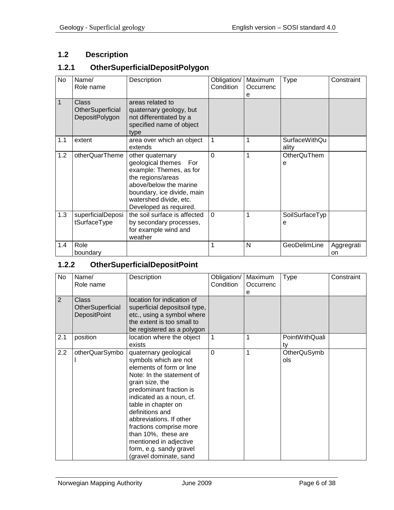# <span id="page-5-0"></span>**1.2 Description**

#### <span id="page-5-1"></span>**1.2.1 OtherSuperficialDepositPolygon**

| No  | Name/<br>Role name                                        | Description                                                                                                                                                                                           | Obligation/<br>Condition | Maximum<br>Occurrenc<br>е | <b>Type</b>                   | Constraint       |
|-----|-----------------------------------------------------------|-------------------------------------------------------------------------------------------------------------------------------------------------------------------------------------------------------|--------------------------|---------------------------|-------------------------------|------------------|
| 1   | <b>Class</b><br>OtherSuperficial<br><b>DepositPolygon</b> | areas related to<br>quaternary geology, but<br>not differentiated by a<br>specified name of object<br>type                                                                                            |                          |                           |                               |                  |
| 1.1 | extent                                                    | area over which an object<br>extends                                                                                                                                                                  | $\mathbf{1}$             | 1                         | <b>SurfaceWithQu</b><br>ality |                  |
| 1.2 | otherQuarTheme                                            | other quaternary<br>geological themes For<br>example: Themes, as for<br>the regions/areas<br>above/below the marine<br>boundary, ice divide, main<br>watershed divide, etc.<br>Developed as required. | $\Omega$                 | 1                         | OtherQuThem<br>е              |                  |
| 1.3 | superficialDeposi<br>tSurfaceType                         | the soil surface is affected<br>by secondary processes,<br>for example wind and<br>weather                                                                                                            | $\Omega$                 | 1                         | SoilSurfaceTyp<br>е           |                  |
| 1.4 | Role<br>boundary                                          |                                                                                                                                                                                                       | 1                        | N                         | GeoDelimLine                  | Aggregrati<br>on |

# <span id="page-5-2"></span>**1.2.2 OtherSuperficialDepositPoint**

| No             | Name/<br>Role name                                      | Description                                                                                                                                                                                                                                                                                                                                                                             | Obligation/<br>Condition | Maximum<br>Occurrenc | Type                      | Constraint |
|----------------|---------------------------------------------------------|-----------------------------------------------------------------------------------------------------------------------------------------------------------------------------------------------------------------------------------------------------------------------------------------------------------------------------------------------------------------------------------------|--------------------------|----------------------|---------------------------|------------|
|                |                                                         |                                                                                                                                                                                                                                                                                                                                                                                         |                          | е                    |                           |            |
| $\overline{2}$ | <b>Class</b><br>OtherSuperficial<br><b>DepositPoint</b> | location for indication of<br>superficial depositsoil type,<br>etc., using a symbol where<br>the extent is too small to<br>be registered as a polygon                                                                                                                                                                                                                                   |                          |                      |                           |            |
| 2.1            | position                                                | location where the object<br>exists                                                                                                                                                                                                                                                                                                                                                     | $\overline{1}$           | 1                    | PointWithQuali<br>tv      |            |
| 2.2            | otherQuarSymbo                                          | quaternary geological<br>symbols which are not<br>elements of form or line<br>Note: In the statement of<br>grain size, the<br>predominant fraction is<br>indicated as a noun, cf.<br>table in chapter on<br>definitions and<br>abbreviations. If other<br>fractions comprise more<br>than 10%, these are<br>mentioned in adjective<br>form, e.g. sandy gravel<br>(gravel dominate, sand | $\overline{0}$           | 1                    | <b>OtherQuSymb</b><br>ols |            |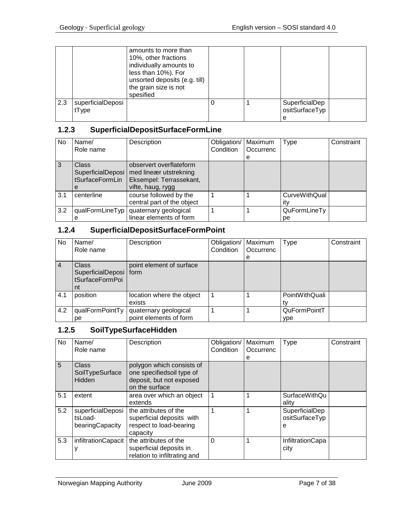|     |                            | amounts to more than<br>10%, other fractions<br>individually amounts to<br>less than 10%). For<br>unsorted deposits (e.g. till)<br>the grain size is not<br>spesified |  |                                       |  |
|-----|----------------------------|-----------------------------------------------------------------------------------------------------------------------------------------------------------------------|--|---------------------------------------|--|
| 2.3 | superficialDeposi<br>tType |                                                                                                                                                                       |  | SuperficialDep<br>ositSurfaceTyp<br>е |  |

# <span id="page-6-0"></span>**1.2.3 SuperficialDepositSurfaceFormLine**

| No  | Name/                                                     | Description                                                                                       | Obligation/ | Maximum   | Type                        | Constraint |
|-----|-----------------------------------------------------------|---------------------------------------------------------------------------------------------------|-------------|-----------|-----------------------------|------------|
|     | Role name                                                 |                                                                                                   | Condition   | Occurrenc |                             |            |
|     |                                                           |                                                                                                   |             | е         |                             |            |
| 3   | <b>Class</b><br>SuperficialDeposi<br>tSurfaceFormLin<br>e | observert overflateform<br>med lineær utstrekning<br>Eksempel: Terrassekant,<br>vifte, haug, rygg |             |           |                             |            |
| 3.1 | centerline                                                | course followed by the<br>central part of the object                                              |             |           | <b>CurveWithQual</b><br>itv |            |
| 3.2 | qualFormLineTyp<br>е                                      | quaternary geological<br>linear elements of form                                                  |             |           | QuFormLineTy<br>рe          |            |

# <span id="page-6-1"></span>**1.2.4 SuperficialDepositSurfaceFormPoint**

| No.            | Name/<br>Role name                                                | Description                                     | Obligation/<br>Condition | Maximum<br>Occurrenc<br>е | Type                       | Constraint |
|----------------|-------------------------------------------------------------------|-------------------------------------------------|--------------------------|---------------------------|----------------------------|------------|
| $\overline{4}$ | <b>Class</b><br>SuperficialDeposi   form<br>tSurfaceFormPoi<br>nt | point element of surface                        |                          |                           |                            |            |
| 4.1            | position                                                          | location where the object<br>exists             |                          |                           | PointWithQuali             |            |
| 4.2            | qualFormPointTy<br>рe                                             | quaternary geological<br>point elements of form |                          |                           | QuFormPointT<br><b>vpe</b> |            |

# <span id="page-6-2"></span>**1.2.5 SoilTypeSurfaceHidden**

| No  | Name/<br>Role name                              | Description                                                                                          | Obligation/<br>Condition | Maximum<br>Occurrenc<br>е | Type                                  | Constraint |
|-----|-------------------------------------------------|------------------------------------------------------------------------------------------------------|--------------------------|---------------------------|---------------------------------------|------------|
| 5   | Class<br>SoilTypeSurface<br>Hidden              | polygon which consists of<br>one specifiedsoil type of<br>deposit, but not exposed<br>on the surface |                          |                           |                                       |            |
| 5.1 | extent                                          | area over which an object<br>extends                                                                 |                          |                           | <b>SurfaceWithQu</b><br>ality         |            |
| 5.2 | superficialDeposi<br>tsLoad-<br>bearingCapacity | the attributes of the<br>superficial deposits with<br>respect to load-bearing<br>capacity            |                          |                           | SuperficialDep<br>ositSurfaceTyp<br>е |            |
| 5.3 | infiltrationCapacit                             | the attributes of the<br>superficial deposits in<br>relation to infiltrating and                     | $\Omega$                 |                           | InfiltrationCapa<br>city              |            |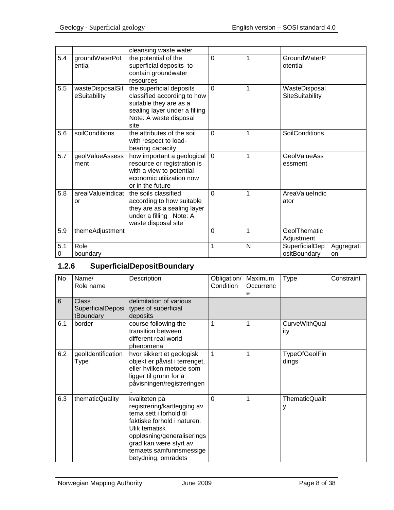|          |                                  | cleansing waste water                                                                                                                                |                |   |                                  |                  |
|----------|----------------------------------|------------------------------------------------------------------------------------------------------------------------------------------------------|----------------|---|----------------------------------|------------------|
| 5.4      | groundWaterPot<br>ential         | the potential of the<br>superficial deposits to<br>contain groundwater<br>resources                                                                  | $\overline{0}$ | 1 | GroundWaterP<br>otential         |                  |
| 5.5      | wasteDisposalSit<br>eSuitability | the superficial deposits<br>classified according to how<br>suitable they are as a<br>sealing layer under a filling<br>Note: A waste disposal<br>site | $\Omega$       | 1 | WasteDisposal<br>SiteSuitability |                  |
| 5.6      | soilConditions                   | the attributes of the soil<br>with respect to load-<br>bearing capacity                                                                              | $\overline{0}$ | 1 | <b>SoilConditions</b>            |                  |
| 5.7      | geolValueAssess<br>ment          | how important a geological<br>resource or registration is<br>with a view to potential<br>economic utilization now<br>or in the future                | $\Omega$       | 1 | <b>GeolValueAss</b><br>essment   |                  |
| 5.8      | arealValueIndicat<br>or          | the soils classified<br>according to how suitable<br>they are as a sealing layer<br>under a filling Note: A<br>waste disposal site                   | $\Omega$       | 1 | AreaValueIndic<br>ator           |                  |
| 5.9      | themeAdjustment                  |                                                                                                                                                      | $\overline{0}$ | 1 | GeolThematic<br>Adjustment       |                  |
| 5.1<br>0 | Role<br>boundary                 |                                                                                                                                                      | 1              | N | SuperficialDep<br>ositBoundary   | Aggregrati<br>on |

# <span id="page-7-0"></span>**1.2.6 SuperficialDepositBoundary**

| No  | Name/<br>Role name                             | Description                                                                                                                                                                                                                       | Obligation/<br>Condition | Maximum<br>Occurrenc<br>е | <b>Type</b>                   | Constraint |
|-----|------------------------------------------------|-----------------------------------------------------------------------------------------------------------------------------------------------------------------------------------------------------------------------------------|--------------------------|---------------------------|-------------------------------|------------|
| 6   | <b>Class</b><br>SuperficialDeposi<br>tBoundary | delimitation of various<br>types of superficial<br>deposits                                                                                                                                                                       |                          |                           |                               |            |
| 6.1 | border                                         | course following the<br>transition between<br>different real world<br>phenomena                                                                                                                                                   | $\mathbf 1$              | 1                         | <b>CurveWithQual</b><br>ity   |            |
| 6.2 | geolldentification<br>Type                     | hvor sikkert et geologisk<br>objekt er påvist i terrenget,<br>eller hvilken metode som<br>ligger til grunn for å<br>påvisningen/registreringen                                                                                    | 1                        | 1                         | <b>TypeOfGeolFin</b><br>dings |            |
| 6.3 | thematicQuality                                | kvaliteten på<br>registrering/kartlegging av<br>tema sett i forhold til<br>faktiske forhold i naturen.<br>Ulik tematisk<br>oppløsning/generaliserings<br>grad kan være styrt av<br>temaets samfunnsmessige<br>betydning, områdets | $\Omega$                 | 1                         | <b>ThematicQualit</b>         |            |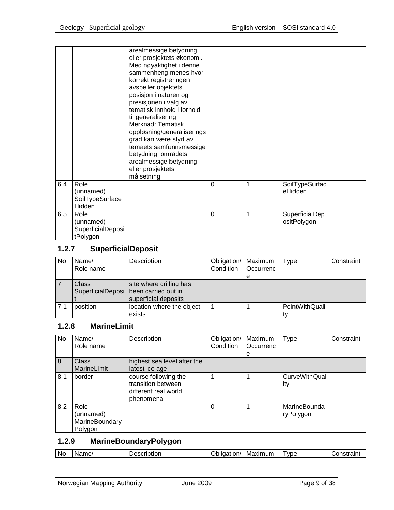|     |                   | arealmessige betydning     |   |   |                |  |
|-----|-------------------|----------------------------|---|---|----------------|--|
|     |                   | eller prosjektets økonomi. |   |   |                |  |
|     |                   | Med nøyaktighet i denne    |   |   |                |  |
|     |                   | sammenheng menes hvor      |   |   |                |  |
|     |                   | korrekt registreringen     |   |   |                |  |
|     |                   | avspeiler objektets        |   |   |                |  |
|     |                   | posisjon i naturen og      |   |   |                |  |
|     |                   | presisjonen i valg av      |   |   |                |  |
|     |                   | tematisk innhold i forhold |   |   |                |  |
|     |                   |                            |   |   |                |  |
|     |                   | til generalisering         |   |   |                |  |
|     |                   | Merknad: Tematisk          |   |   |                |  |
|     |                   | oppløsning/generaliserings |   |   |                |  |
|     |                   | grad kan være styrt av     |   |   |                |  |
|     |                   | temaets samfunnsmessige    |   |   |                |  |
|     |                   | betydning, områdets        |   |   |                |  |
|     |                   | arealmessige betydning     |   |   |                |  |
|     |                   | eller prosjektets          |   |   |                |  |
|     |                   | målsetning                 |   |   |                |  |
| 6.4 | Role              |                            | 0 | 1 | SoilTypeSurfac |  |
|     | (unnamed)         |                            |   |   | eHidden        |  |
|     | SoilTypeSurface   |                            |   |   |                |  |
|     | Hidden            |                            |   |   |                |  |
| 6.5 | Role              |                            | 0 | 1 |                |  |
|     |                   |                            |   |   | SuperficialDep |  |
|     | (unnamed)         |                            |   |   | ositPolygon    |  |
|     | SuperficialDeposi |                            |   |   |                |  |
|     | tPolygon          |                            |   |   |                |  |

# <span id="page-8-0"></span>**1.2.7 SuperficialDeposit**

| No  | Name/<br>Role name | Description                                                                                | Obligation/   Maximum<br>Condition | l Occurrenc | Type           | Constraint |
|-----|--------------------|--------------------------------------------------------------------------------------------|------------------------------------|-------------|----------------|------------|
|     |                    |                                                                                            |                                    | е           |                |            |
|     | <b>Class</b>       | site where drilling has<br>SuperficialDeposi   been carried out in<br>superficial deposits |                                    |             |                |            |
| 7.1 | position           | location where the object<br>exists                                                        |                                    |             | PointWithQuali |            |

## <span id="page-8-1"></span>**1.2.8 MarineLimit**

| <b>No</b> | Name/                                          | Description                                                                     | Obligation/ | Maximum   | Type                        | Constraint |
|-----------|------------------------------------------------|---------------------------------------------------------------------------------|-------------|-----------|-----------------------------|------------|
|           | Role name                                      |                                                                                 | Condition   | Occurrenc |                             |            |
|           |                                                |                                                                                 |             | е         |                             |            |
| 8         | <b>Class</b>                                   | highest sea level after the                                                     |             |           |                             |            |
|           | MarineLimit                                    | latest ice age                                                                  |             |           |                             |            |
| 8.1       | border                                         | course following the<br>transition between<br>different real world<br>phenomena |             |           | <b>CurveWithQual</b><br>ity |            |
| 8.2       | Role<br>(unnamed)<br>MarineBoundary<br>Polygon |                                                                                 | 0           |           | MarineBounda<br>ryPolygon   |            |

# <span id="page-8-2"></span>**1.2.9 MarineBoundaryPolygon**

| N0<br><b>***********</b><br>VDE<br>- ---<br>-IVIZ<br>.<br>. IFF<br><u>ں س</u><br>mг<br>'' |  |  |  |  |  |  | ------- |
|-------------------------------------------------------------------------------------------|--|--|--|--|--|--|---------|
|-------------------------------------------------------------------------------------------|--|--|--|--|--|--|---------|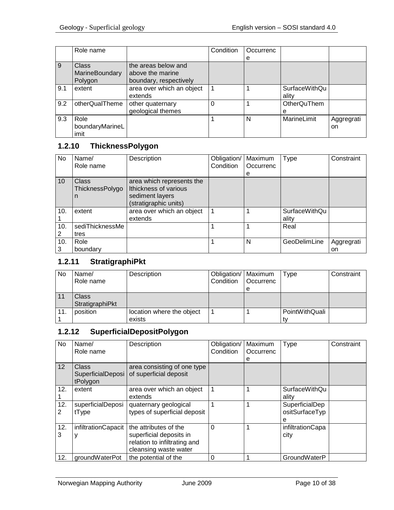|     | Role name       |                           | Condition | Occurrenc |                    |            |
|-----|-----------------|---------------------------|-----------|-----------|--------------------|------------|
|     |                 |                           |           | e         |                    |            |
| 9   | <b>Class</b>    | the areas below and       |           |           |                    |            |
|     | MarineBoundary  | above the marine          |           |           |                    |            |
|     | Polygon         | boundary, respectively    |           |           |                    |            |
| 9.1 | extent          | area over which an object |           |           | SurfaceWithQu      |            |
|     |                 | extends                   |           |           | ality              |            |
| 9.2 | otherQualTheme  | other quaternary          | $\Omega$  |           | <b>OtherQuThem</b> |            |
|     |                 | geological themes         |           |           | е                  |            |
| 9.3 | Role            |                           |           | N         | MarineLimit        | Aggregrati |
|     | boundaryMarineL |                           |           |           |                    | on         |
|     | imit            |                           |           |           |                    |            |

# <span id="page-9-0"></span>**1.2.10 ThicknessPolygon**

| No  | Name/           | Description               | Obligation/ | Maximum   | Type          | Constraint |
|-----|-----------------|---------------------------|-------------|-----------|---------------|------------|
|     | Role name       |                           | Condition   | Occurrenc |               |            |
|     |                 |                           |             | е         |               |            |
| 10  | <b>Class</b>    | area which represents the |             |           |               |            |
|     | ThicknessPolygo | Ithickness of various     |             |           |               |            |
|     | n               | sediment layers           |             |           |               |            |
|     |                 | (stratigraphic units)     |             |           |               |            |
| 10. | extent          | area over which an object |             |           | SurfaceWithQu |            |
|     |                 | extends                   |             |           | ality         |            |
| 10. | sediThicknessMe |                           |             |           | Real          |            |
| 2   | tres            |                           |             |           |               |            |
| 10. | Role            |                           |             | N         | GeoDelimLine  | Aggregrati |
| 3   | boundary        |                           |             |           |               | on         |

# <span id="page-9-1"></span>**1.2.11 StratigraphiPkt**

| <b>No</b> | Name/           | Description               | Obligation/   Maximum |           | Type           | Constraint |
|-----------|-----------------|---------------------------|-----------------------|-----------|----------------|------------|
|           | Role name       |                           | Condition             | Occurrenc |                |            |
|           |                 |                           |                       | е         |                |            |
|           | Class           |                           |                       |           |                |            |
|           | StratigraphiPkt |                           |                       |           |                |            |
| 11.       | position        | location where the object |                       |           | PointWithQuali |            |
|           |                 | exists                    |                       |           |                |            |

# <span id="page-9-2"></span>**1.2.12 SuperficialDepositPolygon**

| No       | Name/<br>Role name                            | Description                                                                                               | Obligation/<br>Condition | Maximum<br>Occurrenc<br>е | Type                                  | Constraint |
|----------|-----------------------------------------------|-----------------------------------------------------------------------------------------------------------|--------------------------|---------------------------|---------------------------------------|------------|
| 12       | <b>Class</b><br>SuperficialDeposi<br>tPolygon | area consisting of one type<br>of superficial deposit                                                     |                          |                           |                                       |            |
| 12.      | extent                                        | area over which an object<br>extends                                                                      |                          |                           | <b>SurfaceWithQu</b><br>ality         |            |
| 12.<br>2 | superficialDeposi<br>tType                    | quaternary geological<br>types of superficial deposit                                                     |                          |                           | SuperficialDep<br>ositSurfaceTyp<br>e |            |
| 12.<br>3 | infiltrationCapacit                           | the attributes of the<br>superficial deposits in<br>relation to infiltrating and<br>cleansing waste water | $\Omega$                 |                           | infiltrationCapa<br>city              |            |
| 12.      | groundWaterPot                                | the potential of the                                                                                      | $\Omega$                 |                           | GroundWaterP                          |            |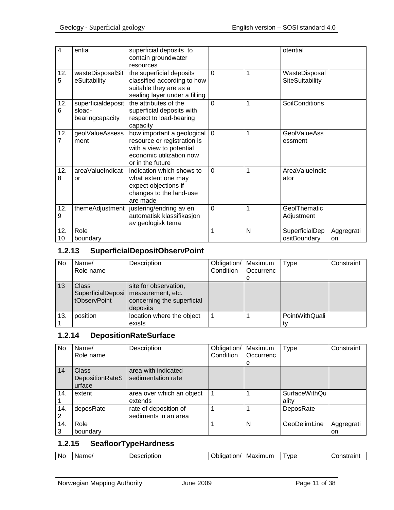| 4         | ential                                          | superficial deposits to<br>contain groundwater<br>resources                                                                           |             |   | otential                         |                  |
|-----------|-------------------------------------------------|---------------------------------------------------------------------------------------------------------------------------------------|-------------|---|----------------------------------|------------------|
| 12.<br>5  | wasteDisposalSit<br>eSuitability                | the superficial deposits<br>classified according to how<br>suitable they are as a<br>sealing layer under a filling                    | $\Omega$    | 1 | WasteDisposal<br>SiteSuitability |                  |
| 12.<br>6  | superficialdeposit<br>sload-<br>bearingcapacity | the attributes of the<br>superficial deposits with<br>respect to load-bearing<br>capacity                                             | $\Omega$    | 1 | <b>SoilConditions</b>            |                  |
| 12.<br>7  | geolValueAssess<br>ment                         | how important a geological<br>resource or registration is<br>with a view to potential<br>economic utilization now<br>or in the future | $\Omega$    | 1 | <b>GeolValueAss</b><br>essment   |                  |
| 12.<br>8  | areaValueIndicat<br>or                          | indication which shows to<br>what extent one may<br>expect objections if<br>changes to the land-use<br>are made                       | $\mathbf 0$ | 1 | AreaValueIndic<br>ator           |                  |
| 12.<br>9  |                                                 | themeAdjustment   justering/endring av en<br>automatisk klassifikasjon<br>av geologisk tema                                           | $\mathbf 0$ | 1 | GeolThematic<br>Adjustment       |                  |
| 12.<br>10 | Role<br>boundary                                |                                                                                                                                       | 1           | N | SuperficialDep<br>ositBoundary   | Aggregrati<br>on |

#### <span id="page-10-0"></span>**1.2.13 SuperficialDepositObservPoint**

| <b>No</b> | Name/<br>Role name                                | Description                                                                          | Obligation/<br>Condition | Maximum<br>Occurrenc<br>e | Type           | Constraint |
|-----------|---------------------------------------------------|--------------------------------------------------------------------------------------|--------------------------|---------------------------|----------------|------------|
| 13        | <b>Class</b><br>SuperficialDeposi<br>tObservPoint | site for observation,<br>measurement, etc.<br>concerning the superficial<br>deposits |                          |                           |                |            |
| 13.       | position                                          | location where the object                                                            |                          |                           | PointWithQuali |            |
|           |                                                   | exists                                                                               |                          |                           |                |            |

# <span id="page-10-1"></span>**1.2.14 DepositionRateSurface**

| No  | Name/           | Description               | Obligation/ | Maximum   | <b>Type</b>          | Constraint |
|-----|-----------------|---------------------------|-------------|-----------|----------------------|------------|
|     | Role name       |                           | Condition   | Occurrenc |                      |            |
|     |                 |                           |             | е         |                      |            |
| 14  | <b>Class</b>    | area with indicated       |             |           |                      |            |
|     | DepositionRateS | sedimentation rate        |             |           |                      |            |
|     | urface          |                           |             |           |                      |            |
| 14. | extent          | area over which an object |             |           | <b>SurfaceWithQu</b> |            |
|     |                 | extends                   |             |           | ality                |            |
| 14. | deposRate       | rate of deposition of     |             |           | DeposRate            |            |
| 2   |                 | sediments in an area      |             |           |                      |            |
| 14. | Role            |                           |             | N         | GeoDelimLine         | Aggregrati |
| 3   | boundary        |                           |             |           |                      | on         |

#### <span id="page-10-2"></span>**1.2.15 SeafloorTypeHardness**

| Nc<br>Maximum<br><b>VDE</b><br>Name/<br>Jescription<br>$-$<br>.<br>- -<br>៶៲<br>ווכ<br>.iON 7<br><b>B</b><br>ан |
|-----------------------------------------------------------------------------------------------------------------|
|-----------------------------------------------------------------------------------------------------------------|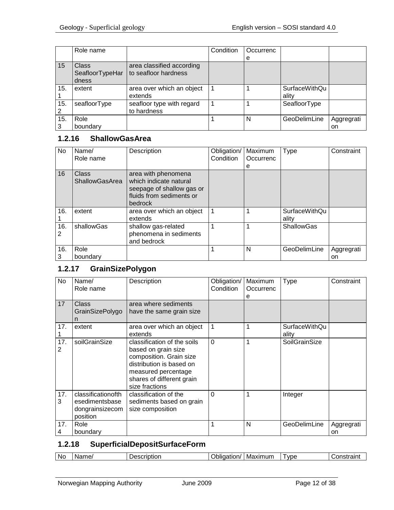|     | Role name       |                           | Condition | Occurrenc |                      |            |
|-----|-----------------|---------------------------|-----------|-----------|----------------------|------------|
|     |                 |                           |           | e         |                      |            |
| 15  | Class           | area classified according |           |           |                      |            |
|     | SeafloorTypeHar | to seafloor hardness      |           |           |                      |            |
|     | dness           |                           |           |           |                      |            |
| 15. | extent          | area over which an object |           |           | <b>SurfaceWithQu</b> |            |
|     |                 | extends                   |           |           | ality                |            |
| 15. | seafloorType    | seafloor type with regard |           |           | SeafloorType         |            |
|     |                 | to hardness               |           |           |                      |            |
| 15. | Role            |                           |           | N         | GeoDelimLine         | Aggregrati |
| 3   | boundary        |                           |           |           |                      | on         |

# <span id="page-11-0"></span>**1.2.16 ShallowGasArea**

| No.      | Name/<br>Role name             | Description                                                                                                       | Obligation/<br>Condition | Maximum<br>Occurrenc<br>е | <b>Type</b>                   | Constraint       |
|----------|--------------------------------|-------------------------------------------------------------------------------------------------------------------|--------------------------|---------------------------|-------------------------------|------------------|
| 16       | Class<br><b>ShallowGasArea</b> | area with phenomena<br>which indicate natural<br>seepage of shallow gas or<br>fluids from sediments or<br>bedrock |                          |                           |                               |                  |
| 16.      | extent                         | area over which an object<br>extends                                                                              |                          |                           | <b>SurfaceWithQu</b><br>ality |                  |
| 16.<br>2 | shallowGas                     | shallow gas-related<br>phenomena in sediments<br>and bedrock                                                      |                          |                           | <b>ShallowGas</b>             |                  |
| 16.<br>3 | Role<br>boundary               |                                                                                                                   |                          | N                         | GeoDelimLine                  | Aggregrati<br>on |

# <span id="page-11-1"></span>**1.2.17 GrainSizePolygon**

| No       | Name/<br>Role name                                                  | Description                                                                                                                                                                     | Obligation/<br>Condition | Maximum<br>Occurrenc<br>е | Type                          | Constraint       |
|----------|---------------------------------------------------------------------|---------------------------------------------------------------------------------------------------------------------------------------------------------------------------------|--------------------------|---------------------------|-------------------------------|------------------|
| 17       | Class<br><b>GrainSizePolygo</b><br>n                                | area where sediments<br>have the same grain size                                                                                                                                |                          |                           |                               |                  |
| 17.      | extent                                                              | area over which an object<br>extends                                                                                                                                            | 1                        | 1                         | <b>SurfaceWithQu</b><br>ality |                  |
| 17.<br>2 | soilGrainSize                                                       | classification of the soils<br>based on grain size<br>composition. Grain size<br>distribution is based on<br>measured percentage<br>shares of different grain<br>size fractions | $\Omega$                 | 1                         | SoilGrainSize                 |                  |
| 17.<br>3 | classificationofth<br>esedimentsbase<br>dongrainsizecom<br>position | classification of the<br>sediments based on grain<br>size composition                                                                                                           | $\Omega$                 | 1                         | Integer                       |                  |
| 17.<br>4 | Role<br>boundary                                                    |                                                                                                                                                                                 | 1                        | N                         | GeoDelimLine                  | Aggregrati<br>on |

# <span id="page-11-2"></span>**1.2.18 SuperficialDepositSurfaceForm**

| No | ame<br>N.<br>. | ----<br>.<br>ribtion<br>، ص | -------<br>וור<br>ю<br>ີ | Maximum | <b>VDE</b> | .<br>1. J L |
|----|----------------|-----------------------------|--------------------------|---------|------------|-------------|
|----|----------------|-----------------------------|--------------------------|---------|------------|-------------|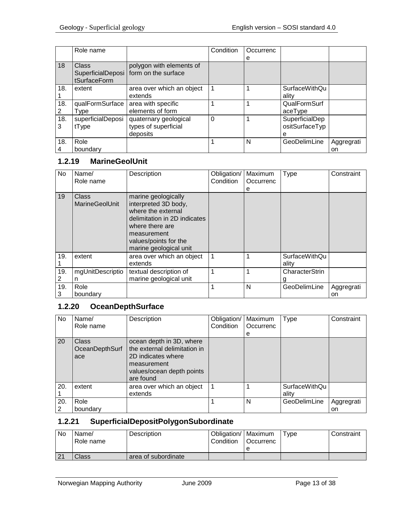|          | Role name                  |                                                                     | Condition | Occurrenc |                                       |            |
|----------|----------------------------|---------------------------------------------------------------------|-----------|-----------|---------------------------------------|------------|
|          |                            |                                                                     |           | е         |                                       |            |
| 18       | Class<br>tSurfaceForm      | polygon with elements of<br>SuperficialDeposi   form on the surface |           |           |                                       |            |
| 18.      | extent                     | area over which an object<br>extends                                |           |           | <b>SurfaceWithQu</b><br>ality         |            |
| 18.<br>2 | qualFormSurface<br>Type    | area with specific<br>elements of form                              |           |           | QualFormSurf<br>aceType               |            |
| 18.<br>3 | superficialDeposi<br>tType | quaternary geological<br>types of superficial<br>deposits           | $\Omega$  |           | SuperficialDep<br>ositSurfaceTyp<br>е |            |
| 18.      | Role                       |                                                                     |           | N         | GeoDelimLine                          | Aggregrati |
|          | boundary                   |                                                                     |           |           |                                       | on         |

# <span id="page-12-0"></span>**1.2.19 MarineGeolUnit**

| No. | Name/<br>Role name             | Description                                                                                                                                                                            | Obligation/<br>Condition | Maximum<br>Occurrenc<br>е | <b>Type</b>            | Constraint |
|-----|--------------------------------|----------------------------------------------------------------------------------------------------------------------------------------------------------------------------------------|--------------------------|---------------------------|------------------------|------------|
| 19  | Class<br><b>MarineGeolUnit</b> | marine geologically<br>interpreted 3D body,<br>where the external<br>delimitation in 2D indicates<br>where there are<br>measurement<br>values/points for the<br>marine geological unit |                          |                           |                        |            |
| 19. | extent                         | area over which an object<br>extends                                                                                                                                                   | $\mathbf{1}$             | 1                         | SurfaceWithQu<br>ality |            |
| 19. | mgUnitDescriptio               | textual description of                                                                                                                                                                 | 1                        | 1                         | CharacterStrin         |            |
| 2   | n                              | marine geological unit                                                                                                                                                                 |                          |                           |                        |            |
| 19. | Role                           |                                                                                                                                                                                        | 1                        | N                         | GeoDelimLine           | Aggregrati |
| 3   | boundary                       |                                                                                                                                                                                        |                          |                           |                        | on         |

# <span id="page-12-1"></span>**1.2.20 OceanDepthSurface**

| No.      | Name/<br>Role name                    | Description                                                                                                                             | Obligation/<br>Condition | Maximum<br>Occurrenc<br>е | <b>Type</b>                   | Constraint       |
|----------|---------------------------------------|-----------------------------------------------------------------------------------------------------------------------------------------|--------------------------|---------------------------|-------------------------------|------------------|
| 20       | <b>Class</b><br>OceanDepthSurf<br>ace | ocean depth in 3D, where<br>the external delimitation in<br>2D indicates where<br>measurement<br>values/ocean depth points<br>are found |                          |                           |                               |                  |
| 20.      | extent                                | area over which an object<br>extends                                                                                                    |                          |                           | <b>SurfaceWithQu</b><br>ality |                  |
| 20.<br>2 | Role<br>boundary                      |                                                                                                                                         |                          | N                         | GeoDelimLine                  | Aggregrati<br>on |

## <span id="page-12-2"></span>**1.2.21 SuperficialDepositPolygonSubordinate**

| No       | Name/<br>Role name | Description         | Obligation/   Maximum<br>Condition | <b>I</b> Occurrenc | $T$ <sub>V</sub> pe | Constraint |
|----------|--------------------|---------------------|------------------------------------|--------------------|---------------------|------------|
|          |                    |                     |                                    |                    |                     |            |
| $\Omega$ | Class              | area of subordinate |                                    |                    |                     |            |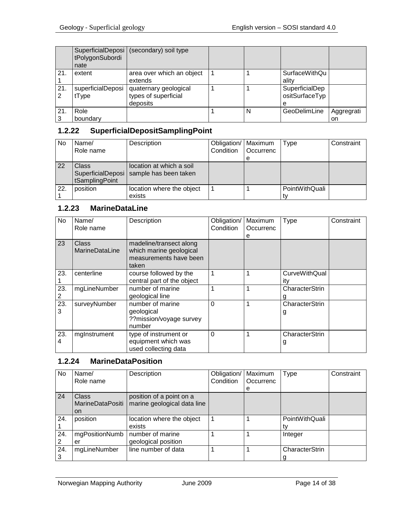|     | tPolygonSubordi<br>nate    | SuperficialDeposi (secondary) soil type                   |   |                                       |                  |
|-----|----------------------------|-----------------------------------------------------------|---|---------------------------------------|------------------|
| 21. | extent                     | area over which an object<br>extends                      |   | <b>SurfaceWithQu</b><br>ality         |                  |
| 21. | superficialDeposi<br>tType | quaternary geological<br>types of superficial<br>deposits |   | SuperficialDep<br>ositSurfaceTyp<br>е |                  |
| 21. | Role<br>boundary           |                                                           | N | GeoDelimLine                          | Aggregrati<br>on |

#### <span id="page-13-0"></span>**1.2.22 SuperficialDepositSamplingPoint**

| No  | Name/                   | Description                                                           | Obligation/   Maximum |           | Type           | Constraint |
|-----|-------------------------|-----------------------------------------------------------------------|-----------------------|-----------|----------------|------------|
|     | Role name               |                                                                       | Condition             | Occurrenc |                |            |
|     |                         |                                                                       |                       | е         |                |            |
| 22  | Class<br>tSamplingPoint | location at which a soil<br>SuperficialDeposi   sample has been taken |                       |           |                |            |
| 22. | position                | location where the object<br>exists                                   |                       |           | PointWithQuali |            |

#### <span id="page-13-1"></span>**1.2.23 MarineDataLine**

| No       | Name/<br>Role name                    | Description                                                                           | Obligation/<br>Condition | Maximum<br>Occurrenc<br>е | Type                        | Constraint |
|----------|---------------------------------------|---------------------------------------------------------------------------------------|--------------------------|---------------------------|-----------------------------|------------|
| 23       | <b>Class</b><br><b>MarineDataLine</b> | madeline/transect along<br>which marine geological<br>measurements have been<br>taken |                          |                           |                             |            |
| 23.      | centerline                            | course followed by the<br>central part of the object                                  | $\mathbf 1$              | 1                         | <b>CurveWithQual</b><br>itv |            |
| 23.<br>2 | mgLineNumber                          | number of marine<br>geological line                                                   | 1                        | 1                         | CharacterStrin              |            |
| 23.<br>3 | surveyNumber                          | number of marine<br>geological<br>??mission/voyage survey<br>number                   | $\Omega$                 | 1                         | CharacterStrin<br>g         |            |
| 23.<br>4 | mgInstrument                          | type of instrument or<br>equipment which was<br>used collecting data                  | $\Omega$                 | 1                         | CharacterStrin<br>g         |            |

# <span id="page-13-2"></span>**1.2.24 MarineDataPosition**

| No  | Name/            | Description                 | Obligation/ | Maximum   | <b>Type</b>    | Constraint |
|-----|------------------|-----------------------------|-------------|-----------|----------------|------------|
|     | Role name        |                             | Condition   | Occurrenc |                |            |
|     |                  |                             |             | е         |                |            |
| 24  | <b>Class</b>     | position of a point on a    |             |           |                |            |
|     | MarineDataPositi | marine geological data line |             |           |                |            |
|     | on               |                             |             |           |                |            |
| 24. | position         | location where the object   |             |           | PointWithQuali |            |
|     |                  | exists                      |             |           |                |            |
| 24. | mgPositionNumb   | number of marine            |             |           | Integer        |            |
|     | er               | geological position         |             |           |                |            |
| 24. | mgLineNumber     | line number of data         |             |           | CharacterStrin |            |
| 3   |                  |                             |             |           |                |            |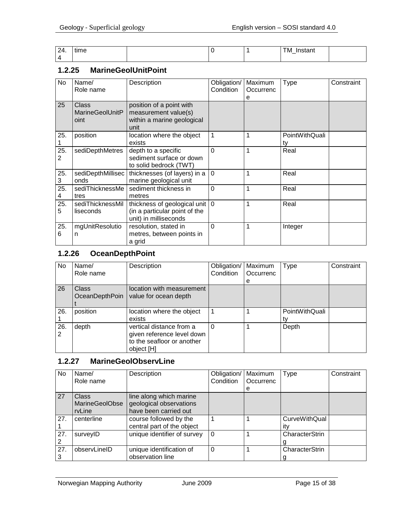| 24. | time |  | TM<br>'nstant<br>. . <del>.</del><br>$\overline{\phantom{0}}$ |  |
|-----|------|--|---------------------------------------------------------------|--|
|     |      |  |                                                               |  |

#### <span id="page-14-0"></span>**1.2.25 MarineGeolUnitPoint**

| <b>No</b> | Name/<br>Role name                             | Description                                                                                | Obligation/<br>Condition | Maximum<br>Occurrenc<br>е | <b>Type</b>          | Constraint |
|-----------|------------------------------------------------|--------------------------------------------------------------------------------------------|--------------------------|---------------------------|----------------------|------------|
| 25        | <b>Class</b><br><b>MarineGeolUnitP</b><br>oint | position of a point with<br>measurement value(s)<br>within a marine geological<br>unit     |                          |                           |                      |            |
| 25.       | position                                       | location where the object<br>exists                                                        |                          |                           | PointWithQuali<br>tv |            |
| 25.<br>2  | sediDepthMetres                                | depth to a specific<br>sediment surface or down<br>to solid bedrock (TWT)                  | $\Omega$                 |                           | Real                 |            |
| 25.<br>3  | sediDepthMillisec<br>onds                      | thicknesses (of layers) in a<br>marine geological unit                                     | $\Omega$                 |                           | Real                 |            |
| 25.<br>4  | sediThicknessMe<br>tres                        | sediment thickness in<br>metres                                                            | $\Omega$                 | 1                         | Real                 |            |
| 25.<br>5  | sediThicknessMil<br>liseconds                  | thickness of geological unit   0<br>(in a particular point of the<br>unit) in milliseconds |                          | 1                         | Real                 |            |
| 25.<br>6  | mgUnitResolutio<br>n                           | resolution, stated in<br>metres, between points in<br>a grid                               | $\Omega$                 |                           | Integer              |            |

# <span id="page-14-1"></span>**1.2.26 OceanDepthPoint**

| No  | Name/<br>Role name | Description                | Obligation/<br>Condition | Maximum<br>Occurrenc | <b>Type</b>    | Constraint |
|-----|--------------------|----------------------------|--------------------------|----------------------|----------------|------------|
|     |                    |                            |                          | e                    |                |            |
| 26  | <b>Class</b>       | location with measurement  |                          |                      |                |            |
|     | OceanDepthPoin     | value for ocean depth      |                          |                      |                |            |
|     |                    |                            |                          |                      |                |            |
| 26. | position           | location where the object  |                          |                      | PointWithQuali |            |
|     |                    | exists                     |                          |                      |                |            |
| 26. | depth              | vertical distance from a   | 0                        |                      | Depth          |            |
|     |                    | given reference level down |                          |                      |                |            |
|     |                    | to the seafloor or another |                          |                      |                |            |
|     |                    | object [H]                 |                          |                      |                |            |

# <span id="page-14-2"></span>**1.2.27 MarineGeolObservLine**

| No  | Name/                 | Description                 | Obligation/ | Maximum   | Type                 | Constraint |
|-----|-----------------------|-----------------------------|-------------|-----------|----------------------|------------|
|     | Role name             |                             | Condition   | Occurrenc |                      |            |
|     |                       |                             |             | е         |                      |            |
| 27  | <b>Class</b>          | line along which marine     |             |           |                      |            |
|     | <b>MarineGeolObse</b> | geological observations     |             |           |                      |            |
|     | rvLine                | have been carried out       |             |           |                      |            |
| 27. | centerline            | course followed by the      |             |           | <b>CurveWithQual</b> |            |
|     |                       | central part of the object  |             |           | itv                  |            |
| 27. | surveyID              | unique identifier of survey | $\Omega$    |           | CharacterStrin       |            |
|     |                       |                             |             |           |                      |            |
| 27. | observLineID          | unique identification of    | 0           |           | CharacterStrin       |            |
|     |                       | observation line            |             |           |                      |            |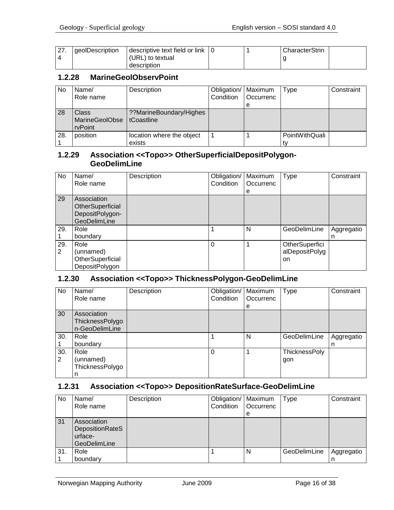| . 27<br>$\sim$ $\sim$ | <i>deolDescription</i> | descriptive text field or link |  | CharacterStrin |  |
|-----------------------|------------------------|--------------------------------|--|----------------|--|
|                       |                        | (URL) to textual               |  |                |  |
|                       |                        | description                    |  |                |  |

#### <span id="page-15-0"></span>**1.2.28 MarineGeolObservPoint**

| No  | Name/                              | Description                           | Obligation/   Maximum |                  | Type           | Constraint |
|-----|------------------------------------|---------------------------------------|-----------------------|------------------|----------------|------------|
|     | Role name                          |                                       | Condition             | <b>Occurrenc</b> |                |            |
|     |                                    |                                       |                       | е                |                |            |
| 28  | Class<br>MarineGeolObse<br>rvPoint | ??MarineBoundary/Highes<br>tCoastline |                       |                  |                |            |
| 28. | position                           | location where the object             |                       |                  | PointWithQuali |            |
|     |                                    | exists                                |                       |                  |                |            |

#### <span id="page-15-1"></span>**1.2.29 Association <<Topo>> OtherSuperficialDepositPolygon-GeoDelimLine**

| <b>No</b> | Name/               | Description | Obligation/ | Maximum   | <b>Type</b>    | Constraint |
|-----------|---------------------|-------------|-------------|-----------|----------------|------------|
|           | Role name           |             | Condition   | Occurrenc |                |            |
|           |                     |             |             | e         |                |            |
| 29        | Association         |             |             |           |                |            |
|           | OtherSuperficial    |             |             |           |                |            |
|           | DepositPolygon-     |             |             |           |                |            |
|           | <b>GeoDelimLine</b> |             |             |           |                |            |
| 29.       | Role                |             |             | N         | GeoDelimLine   | Aggregatio |
|           | boundary            |             |             |           |                | n          |
| 29.       | Role                |             | 0           |           | OtherSuperfici |            |
| 2         | (unnamed)           |             |             |           | alDepositPolyg |            |
|           | OtherSuperficial    |             |             |           | on             |            |
|           | DepositPolygon      |             |             |           |                |            |

## <span id="page-15-2"></span>**1.2.30 Association <<Topo>> ThicknessPolygon-GeoDelimLine**

| <b>No</b> | Name/<br>Role name                               | Description | Obligation/   Maximum<br>Condition | Occurrenc<br>e | <b>Type</b>                 | Constraint      |
|-----------|--------------------------------------------------|-------------|------------------------------------|----------------|-----------------------------|-----------------|
| 30        | Association<br>ThicknessPolygo<br>n-GeoDelimLine |             |                                    |                |                             |                 |
| 30.       | Role<br>boundary                                 |             |                                    | N              | GeoDelimLine                | Aggregatio<br>n |
| 30.<br>2  | Role<br>(unnamed)<br>ThicknessPolygo<br>n        |             | 0                                  |                | <b>ThicknessPoly</b><br>gon |                 |

# <span id="page-15-3"></span>**1.2.31 Association <<Topo>> DepositionRateSurface-GeoDelimLine**

| No  | Name/<br>Role name                                        | Description | Obligation/   Maximum<br>Condition | <b>Occurrenc</b><br>e | <b>Type</b>  | Constraint |
|-----|-----------------------------------------------------------|-------------|------------------------------------|-----------------------|--------------|------------|
| 31  | Association<br>DepositionRateS<br>urface-<br>GeoDelimLine |             |                                    |                       |              |            |
| 31. | Role<br>boundary                                          |             |                                    | N                     | GeoDelimLine | Aggregatio |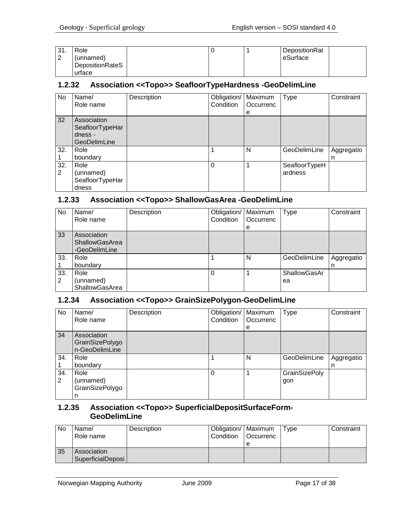| 31.    | Role            |  | DepositionRat |  |
|--------|-----------------|--|---------------|--|
| $\sim$ | (unnamed)       |  | eSurface      |  |
|        | DepositionRateS |  |               |  |
|        | urface          |  |               |  |

#### <span id="page-16-0"></span>**1.2.32 Association <<Topo>> SeafloorTypeHardness -GeoDelimLine**

| No. | Name/           | Description | Obligation/ | Maximum   | Type          | Constraint |
|-----|-----------------|-------------|-------------|-----------|---------------|------------|
|     | Role name       |             | Condition   | Occurrenc |               |            |
|     |                 |             |             | е         |               |            |
| 32  | Association     |             |             |           |               |            |
|     | SeafloorTypeHar |             |             |           |               |            |
|     | dness -         |             |             |           |               |            |
|     | GeoDelimLine    |             |             |           |               |            |
| 32. | Role            |             |             | N         | GeoDelimLine  | Aggregatio |
|     | boundary        |             |             |           |               | n          |
| 32. | Role            |             | $\Omega$    |           | SeafloorTypeH |            |
| 2   | (unnamed)       |             |             |           | ardness       |            |
|     | SeafloorTypeHar |             |             |           |               |            |
|     | dness           |             |             |           |               |            |

#### <span id="page-16-1"></span>**1.2.33 Association <<Topo>> ShallowGasArea -GeoDelimLine**

| <b>No</b> | Name/<br>Role name                                    | Description | Obligation/<br>Condition | Maximum<br>Occurrenc<br>e | <b>Type</b>        | Constraint      |
|-----------|-------------------------------------------------------|-------------|--------------------------|---------------------------|--------------------|-----------------|
| 33        | Association<br><b>ShallowGasArea</b><br>-GeoDelimLine |             |                          |                           |                    |                 |
| 33.       | Role<br>boundary                                      |             |                          | N                         | GeoDelimLine       | Aggregatio<br>n |
| 33.<br>2  | Role<br>(unnamed)<br><b>ShallowGasArea</b>            |             |                          |                           | ShallowGasAr<br>ea |                 |

#### <span id="page-16-2"></span>**1.2.34 Association <<Topo>> GrainSizePolygon-GeoDelimLine**

| No  | Name/           | Description | Obligation/ | Maximum   | Type                 | Constraint |
|-----|-----------------|-------------|-------------|-----------|----------------------|------------|
|     | Role name       |             | Condition   | Occurrenc |                      |            |
|     |                 |             |             | e         |                      |            |
| 34  | Association     |             |             |           |                      |            |
|     | GrainSizePolygo |             |             |           |                      |            |
|     | n-GeoDelimLine  |             |             |           |                      |            |
| 34. | Role            |             |             | N         | GeoDelimLine         | Aggregatio |
|     | boundary        |             |             |           |                      | n          |
| 34. | Role            |             | $\Omega$    |           | <b>GrainSizePoly</b> |            |
| 2   | (unnamed)       |             |             |           | gon                  |            |
|     | GrainSizePolygo |             |             |           |                      |            |
|     | n               |             |             |           |                      |            |

#### <span id="page-16-3"></span>**1.2.35 Association <<Topo>> SuperficialDepositSurfaceForm-GeoDelimLine**

| No | Name/<br>Role name               | Description | Obligation/   Maximum<br>l Condition | <b>Occurrenc</b><br>е | Type | Constraint |
|----|----------------------------------|-------------|--------------------------------------|-----------------------|------|------------|
| 35 | Association<br>SuperficialDeposi |             |                                      |                       |      |            |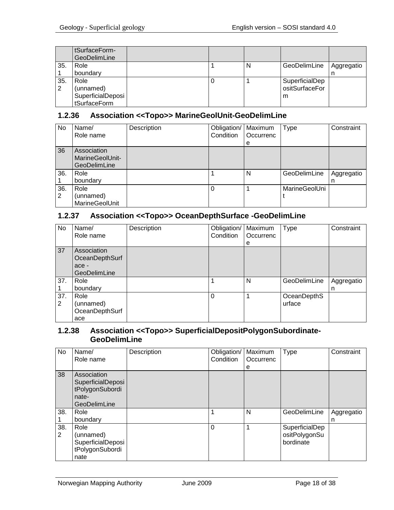|     | tSurfaceForm-<br>GeoDelimLine |  |   |                |            |
|-----|-------------------------------|--|---|----------------|------------|
| 35. | Role                          |  | N | GeoDelimLine   | Aggregatio |
|     | boundary                      |  |   |                |            |
| 35. | Role                          |  |   | SuperficialDep |            |
| 2   | (unnamed)                     |  |   | ositSurfaceFor |            |
|     | SuperficialDeposi             |  |   | m              |            |
|     | tSurfaceForm                  |  |   |                |            |

#### <span id="page-17-0"></span>**1.2.36 Association <<Topo>> MarineGeolUnit-GeoDelimLine**

| No       | Name/<br>Role name                             | Description | Obligation/<br>Condition | Maximum<br>Occurrenc<br>e | Type                 | Constraint      |
|----------|------------------------------------------------|-------------|--------------------------|---------------------------|----------------------|-----------------|
| 36       | Association<br>MarineGeolUnit-<br>GeoDelimLine |             |                          |                           |                      |                 |
| 36.      | Role<br>boundary                               |             |                          | N                         | GeoDelimLine         | Aggregatio<br>n |
| 36.<br>2 | Role<br>(unnamed)<br>MarineGeolUnit            |             |                          |                           | <b>MarineGeolUni</b> |                 |

#### <span id="page-17-1"></span>**1.2.37 Association <<Topo>> OceanDepthSurface -GeoDelimLine**

| No       | Name/<br>Role name                                     | Description | Obligation/   Maximum<br>Condition | <b>Occurrenc</b> | <b>Type</b>           | Constraint      |
|----------|--------------------------------------------------------|-------------|------------------------------------|------------------|-----------------------|-----------------|
|          |                                                        |             |                                    | e                |                       |                 |
| 37       | Association<br>OceanDepthSurf<br>ace -<br>GeoDelimLine |             |                                    |                  |                       |                 |
| 37.      | Role<br>boundary                                       |             |                                    | N                | GeoDelimLine          | Aggregatio<br>n |
| 37.<br>2 | Role<br>(unnamed)<br>OceanDepthSurf<br>ace             |             | $\Omega$                           |                  | OceanDepthS<br>urface |                 |

#### <span id="page-17-2"></span>**1.2.38 Association <<Topo>> SuperficialDepositPolygonSubordinate-GeoDelimLine**

| No       | Name/<br>Role name                                                           | Description | Obligation/<br>Condition | Maximum<br>Occurrenc<br>е | Type                                         | Constraint      |
|----------|------------------------------------------------------------------------------|-------------|--------------------------|---------------------------|----------------------------------------------|-----------------|
| 38       | Association<br>SuperficialDeposi<br>tPolygonSubordi<br>nate-<br>GeoDelimLine |             |                          |                           |                                              |                 |
| 38.      | Role<br>boundary                                                             |             | 1                        | N                         | GeoDelimLine                                 | Aggregatio<br>n |
| 38.<br>2 | Role<br>(unnamed)<br>SuperficialDeposi<br>tPolygonSubordi<br>nate            |             | $\Omega$                 | 1                         | SuperficialDep<br>ositPolygonSu<br>bordinate |                 |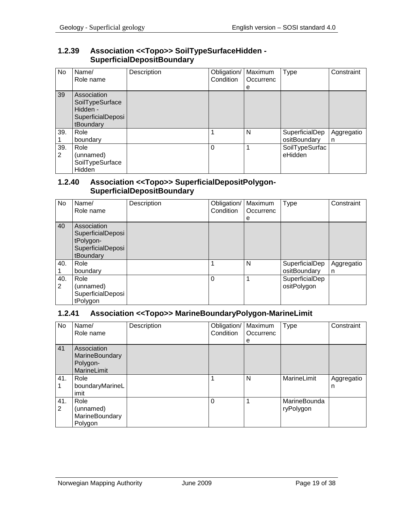#### <span id="page-18-0"></span>**1.2.39 Association <<Topo>> SoilTypeSurfaceHidden - SuperficialDepositBoundary**

| No       | Name/<br>Role name                                                           | Description | Obligation/   Maximum<br>Condition | Occurrenc<br>e | <b>Type</b>                    | Constraint      |
|----------|------------------------------------------------------------------------------|-------------|------------------------------------|----------------|--------------------------------|-----------------|
| 39       | Association<br>SoilTypeSurface<br>Hidden -<br>SuperficialDeposi<br>tBoundary |             |                                    |                |                                |                 |
| 39.      | Role<br>boundary                                                             |             |                                    | N              | SuperficialDep<br>ositBoundary | Aggregatio<br>n |
| 39.<br>2 | Role<br>(unnamed)<br>SoilTypeSurface<br>Hidden                               |             | $\Omega$                           |                | SoilTypeSurfac<br>eHidden      |                 |

#### <span id="page-18-1"></span>**1.2.40 Association <<Topo>> SuperficialDepositPolygon-SuperficialDepositBoundary**

| No       | Name/<br>Role name                                                              | Description | Obligation/<br>Condition | Maximum<br>Occurrenc<br>е | <b>Type</b>                    | Constraint      |
|----------|---------------------------------------------------------------------------------|-------------|--------------------------|---------------------------|--------------------------------|-----------------|
| 40       | Association<br>SuperficialDeposi<br>tPolygon-<br>SuperficialDeposi<br>tBoundary |             |                          |                           |                                |                 |
| 40.      | Role<br>boundary                                                                |             |                          | N                         | SuperficialDep<br>ositBoundary | Aggregatio<br>n |
| 40.<br>2 | Role<br>(unnamed)<br>SuperficialDeposi<br>tPolygon                              |             | 0                        |                           | SuperficialDep<br>ositPolygon  |                 |

# <span id="page-18-2"></span>**1.2.41 Association <<Topo>> MarineBoundaryPolygon-MarineLimit**

| No       | Name/<br>Role name                                       | Description | Obligation/<br>Condition | Maximum<br>Occurrenc<br>е | Type                      | Constraint      |
|----------|----------------------------------------------------------|-------------|--------------------------|---------------------------|---------------------------|-----------------|
| 41       | Association<br>MarineBoundary<br>Polygon-<br>MarineLimit |             |                          |                           |                           |                 |
| 41.      | Role<br>boundaryMarineL<br>imit                          |             |                          | N                         | MarineLimit               | Aggregatio<br>n |
| 41.<br>2 | Role<br>(unnamed)<br>MarineBoundary<br>Polygon           |             | 0                        |                           | MarineBounda<br>ryPolygon |                 |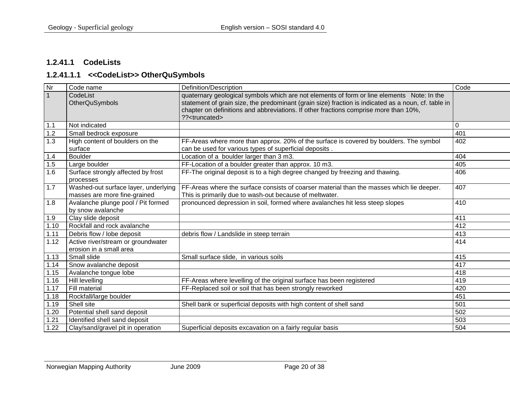#### **1.2.41.1 CodeLists**

#### **1.2.41.1.1 <<CodeList>> OtherQuSymbols**

<span id="page-19-1"></span><span id="page-19-0"></span>

| Nr           | Code name                                                            | Definition/Description                                                                                                                                                                                                                                                                                                  | Code |
|--------------|----------------------------------------------------------------------|-------------------------------------------------------------------------------------------------------------------------------------------------------------------------------------------------------------------------------------------------------------------------------------------------------------------------|------|
| $\mathbf{1}$ | CodeList<br><b>OtherQuSymbols</b>                                    | quaternary geological symbols which are not elements of form or line elements Note: In the<br>statement of grain size, the predominant (grain size) fraction is indicated as a noun, cf. table in<br>chapter on definitions and abbreviations. If other fractions comprise more than 10%,<br>?? <truncated></truncated> |      |
| 1.1          | Not indicated                                                        |                                                                                                                                                                                                                                                                                                                         | 0    |
| 1.2          | Small bedrock exposure                                               |                                                                                                                                                                                                                                                                                                                         | 401  |
| 1.3          | High content of boulders on the<br>surface                           | FF-Areas where more than approx. 20% of the surface is covered by boulders. The symbol<br>can be used for various types of superficial deposits.                                                                                                                                                                        | 402  |
| 1.4          | <b>Boulder</b>                                                       | Location of a boulder larger than 3 m3.                                                                                                                                                                                                                                                                                 | 404  |
| 1.5          | Large boulder                                                        | FF-Location of a boulder greater than approx. 10 m3.                                                                                                                                                                                                                                                                    | 405  |
| 1.6          | Surface strongly affected by frost<br>processes                      | FF-The original deposit is to a high degree changed by freezing and thawing.                                                                                                                                                                                                                                            | 406  |
| 1.7          | Washed-out surface layer, underlying<br>masses are more fine-grained | FF-Areas where the surface consists of coarser material than the masses which lie deeper.<br>This is primarily due to wash-out because of meltwater.                                                                                                                                                                    | 407  |
| 1.8          | Avalanche plunge pool / Pit formed<br>by snow avalanche              | pronounced depression in soil, formed where avalanches hit less steep slopes                                                                                                                                                                                                                                            | 410  |
| 1.9          | Clay slide deposit                                                   |                                                                                                                                                                                                                                                                                                                         | 411  |
| 1.10         | Rockfall and rock avalanche                                          |                                                                                                                                                                                                                                                                                                                         | 412  |
| 1.11         | Debris flow / lobe deposit                                           | debris flow / Landslide in steep terrain                                                                                                                                                                                                                                                                                | 413  |
| 1.12         | Active river/stream or groundwater<br>erosion in a small area        |                                                                                                                                                                                                                                                                                                                         | 414  |
| 1.13         | Small slide                                                          | Small surface slide, in various soils                                                                                                                                                                                                                                                                                   | 415  |
| 1.14         | Snow avalanche deposit                                               |                                                                                                                                                                                                                                                                                                                         | 417  |
| 1.15         | Avalanche tongue lobe                                                |                                                                                                                                                                                                                                                                                                                         | 418  |
| 1.16         | Hill levelling                                                       | FF-Areas where levelling of the original surface has been registered                                                                                                                                                                                                                                                    | 419  |
| 1.17         | Fill material                                                        | FF-Replaced soil or soil that has been strongly reworked                                                                                                                                                                                                                                                                | 420  |
| 1.18         | Rockfall/large boulder                                               |                                                                                                                                                                                                                                                                                                                         | 451  |
| 1.19         | Shell site                                                           | Shell bank or superficial deposits with high content of shell sand                                                                                                                                                                                                                                                      | 501  |
| 1.20         | Potential shell sand deposit                                         |                                                                                                                                                                                                                                                                                                                         | 502  |
| 1.21         | Identified shell sand deposit                                        |                                                                                                                                                                                                                                                                                                                         | 503  |
| 1.22         | Clay/sand/gravel pit in operation                                    | Superficial deposits excavation on a fairly regular basis                                                                                                                                                                                                                                                               | 504  |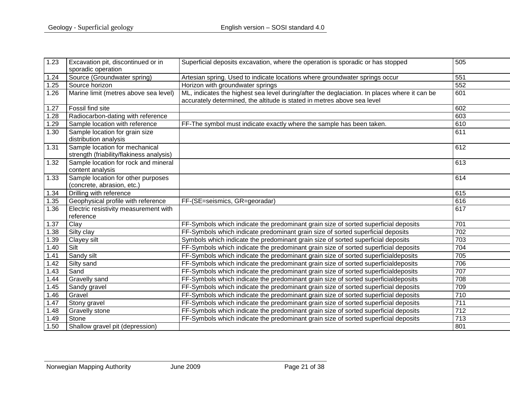| 1.23 | Excavation pit, discontinued or in       | Superficial deposits excavation, where the operation is sporadic or has stopped              | 505 |
|------|------------------------------------------|----------------------------------------------------------------------------------------------|-----|
|      | sporadic operation                       |                                                                                              |     |
| 1.24 | Source (Groundwater spring)              | Artesian spring. Used to indicate locations where groundwater springs occur                  | 551 |
| 1.25 | Source horizon                           | Horizon with groundwater springs                                                             | 552 |
| 1.26 | Marine limit (metres above sea level)    | ML, indicates the highest sea level during/after the deglaciation. In places where it can be | 601 |
|      |                                          | accurately determined, the altitude is stated in metres above sea level                      |     |
| 1.27 | Fossil find site                         |                                                                                              | 602 |
| 1.28 | Radiocarbon-dating with reference        |                                                                                              | 603 |
| 1.29 | Sample location with reference           | FF-The symbol must indicate exactly where the sample has been taken.                         | 610 |
| 1.30 | Sample location for grain size           |                                                                                              | 611 |
|      | distribution analysis                    |                                                                                              |     |
| 1.31 | Sample location for mechanical           |                                                                                              | 612 |
|      | strength (friability/flakiness analysis) |                                                                                              |     |
| 1.32 | Sample location for rock and mineral     |                                                                                              | 613 |
|      | content analysis                         |                                                                                              |     |
| 1.33 | Sample location for other purposes       |                                                                                              | 614 |
|      | (concrete, abrasion, etc.)               |                                                                                              |     |
| 1.34 | Drilling with reference                  |                                                                                              | 615 |
| 1.35 | Geophysical profile with reference       | FF-(SE=seismics, GR=georadar)                                                                | 616 |
| 1.36 | Electric resistivity measurement with    |                                                                                              | 617 |
|      | reference                                |                                                                                              |     |
| 1.37 | Clay                                     | FF-Symbols which indicate the predominant grain size of sorted superficial deposits          | 701 |
| 1.38 | Silty clay                               | FF-Symbols which indicate predominant grain size of sorted superficial deposits              | 702 |
| 1.39 | Clayey silt                              | Symbols which indicate the predominant grain size of sorted superficial deposits             | 703 |
| 1.40 | Silt                                     | FF-Symbols which indicate the predominant grain size of sorted superficial deposits          | 704 |
| 1.41 | Sandy silt                               | FF-Symbols which indicate the predominant grain size of sorted superficialdeposits           | 705 |
| 1.42 | Silty sand                               | FF-Symbols which indicate the predominant grain size of sorted superficialdeposits           | 706 |
| 1.43 | Sand                                     | FF-Symbols which indicate the predominant grain size of sorted superficialdeposits           | 707 |
| 1.44 | Gravelly sand                            | FF-Symbols which indicate the predominant grain size of sorted superficialdeposits           | 708 |
| 1.45 | Sandy gravel                             | FF-Symbols which indicate the predominant grain size of sorted superficial deposits          | 709 |
| 1.46 | Gravel                                   | FF-Symbols which indicate the predominant grain size of sorted superficial deposits          | 710 |
| 1.47 | Stony gravel                             | FF-Symbols which indicate the predominant grain size of sorted superficial deposits          | 711 |
| 1.48 | Gravelly stone                           | FF-Symbols which indicate the predominant grain size of sorted superficial deposits          | 712 |
| 1.49 | Stone                                    | FF-Symbols which indicate the predominant grain size of sorted superficial deposits          | 713 |
| 1.50 | Shallow gravel pit (depression)          |                                                                                              | 801 |
|      |                                          |                                                                                              |     |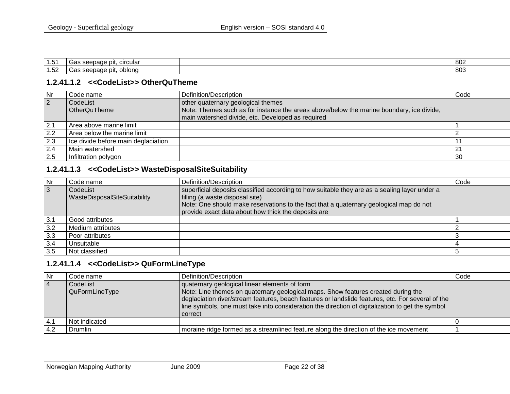| 1.51                    | circula<br>ספ<br>σr<br>ooopduu<br>oas.<br>.                             | 802 |
|-------------------------|-------------------------------------------------------------------------|-----|
| $\overline{A}$<br>ےכ. ⊢ | oblond<br>- ה<br>.nn<br>n,<br>,,,,,,<br><b>vuu</b><br>שע<br>. ا ۱۲<br>ັ | 803 |

#### **1.2.41.1.2 <<CodeList>> OtherQuTheme**

| Nr             | Code name                           | Definition/Description                                                                   | Code           |
|----------------|-------------------------------------|------------------------------------------------------------------------------------------|----------------|
| $\overline{2}$ | CodeList                            | other quaternary geological themes                                                       |                |
|                | OtherQuTheme                        | Note: Themes such as for instance the areas above/below the marine boundary, ice divide, |                |
|                |                                     | main watershed divide, etc. Developed as required                                        |                |
| 2.1            | Area above marine limit             |                                                                                          |                |
| 2.2            | Area below the marine limit         |                                                                                          |                |
| 2.3            | Ice divide before main deglaciation |                                                                                          |                |
| 2.4            | Main watershed                      |                                                                                          | 2 <sup>1</sup> |
| 2.5            | Infiltration polygon                |                                                                                          | 30             |

# **1.2.41.1.3 <<CodeList>> WasteDisposalSiteSuitability**

<span id="page-21-0"></span>

| Nr  | Code name                    | Definition/Description                                                                        | Code |
|-----|------------------------------|-----------------------------------------------------------------------------------------------|------|
| 3   | CodeList                     | superficial deposits classified according to how suitable they are as a sealing layer under a |      |
|     | WasteDisposalSiteSuitability | filling (a waste disposal site)                                                               |      |
|     |                              | Note: One should make reservations to the fact that a quaternary geological map do not        |      |
|     |                              | provide exact data about how thick the deposits are                                           |      |
| 3.1 | Good attributes              |                                                                                               |      |
| 3.2 | Medium attributes            |                                                                                               |      |
| 3.3 | Poor attributes              |                                                                                               |      |
| 3.4 | Unsuitable                   |                                                                                               |      |
| 3.5 | Not classified               |                                                                                               |      |

#### **1.2.41.1.4 <<CodeList>> QuFormLineType**

<span id="page-21-2"></span><span id="page-21-1"></span>

| Nr             | Code name                  | Definition/Description                                                                                                                                                                                                                                                                                                                                 | Code |
|----------------|----------------------------|--------------------------------------------------------------------------------------------------------------------------------------------------------------------------------------------------------------------------------------------------------------------------------------------------------------------------------------------------------|------|
| $\overline{4}$ | CodeList<br>QuFormLineType | quaternary geological linear elements of form<br>Note: Line themes on quaternary geological maps. Show features created during the<br>deglaciation river/stream features, beach features or landslide features, etc. For several of the<br>line symbols, one must take into consideration the direction of digitalization to get the symbol<br>correct |      |
|                | Not indicated              |                                                                                                                                                                                                                                                                                                                                                        |      |
|                | Drumlin                    | moraine ridge formed as a streamlined feature along the direction of the ice movement                                                                                                                                                                                                                                                                  |      |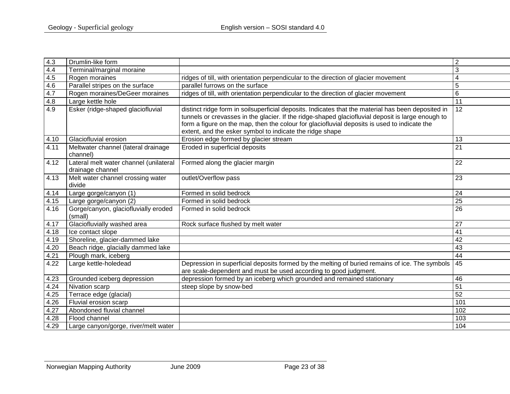| 4.3  | Drumlin-like form                                          |                                                                                                                                                                                                                                                                                                                                                                     | $\overline{2}$  |
|------|------------------------------------------------------------|---------------------------------------------------------------------------------------------------------------------------------------------------------------------------------------------------------------------------------------------------------------------------------------------------------------------------------------------------------------------|-----------------|
| 4.4  | Terminal/marginal moraine                                  |                                                                                                                                                                                                                                                                                                                                                                     | 3               |
| 4.5  | Rogen moraines                                             | ridges of till, with orientation perpendicular to the direction of glacier movement                                                                                                                                                                                                                                                                                 | 4               |
| 4.6  | Parallel stripes on the surface                            | parallel furrows on the surface                                                                                                                                                                                                                                                                                                                                     | 5               |
| 4.7  | Rogen moraines/DeGeer moraines                             | ridges of till, with orientation perpendicular to the direction of glacier movement                                                                                                                                                                                                                                                                                 | 6               |
| 4.8  | Large kettle hole                                          |                                                                                                                                                                                                                                                                                                                                                                     | $\overline{11}$ |
| 4.9  | Esker (ridge-shaped glaciofluvial                          | distinct ridge form in soilsuperficial deposits. Indicates that the material has been deposited in<br>tunnels or crevasses in the glacier. If the ridge-shaped glaciofluvial deposit is large enough to<br>form a figure on the map, then the colour for glaciofluvial deposits is used to indicate the<br>extent, and the esker symbol to indicate the ridge shape | 12              |
| 4.10 | Glaciofluvial erosion                                      | Erosion edge formed by glacier stream                                                                                                                                                                                                                                                                                                                               | 13              |
| 4.11 | Meltwater channel (lateral drainage<br>channel)            | Eroded in superficial deposits                                                                                                                                                                                                                                                                                                                                      | 21              |
| 4.12 | Lateral melt water channel (unilateral<br>drainage channel | Formed along the glacier margin                                                                                                                                                                                                                                                                                                                                     | 22              |
| 4.13 | Melt water channel crossing water<br>divide                | outlet/Overflow pass                                                                                                                                                                                                                                                                                                                                                | 23              |
| 4.14 | Large gorge/canyon (1)                                     | Formed in solid bedrock                                                                                                                                                                                                                                                                                                                                             | 24              |
| 4.15 | Large gorge/canyon (2)                                     | Formed in solid bedrock                                                                                                                                                                                                                                                                                                                                             | $\overline{25}$ |
| 4.16 | Gorge/canyon, glaciofluvially eroded<br>(small)            | Formed in solid bedrock                                                                                                                                                                                                                                                                                                                                             | 26              |
| 4.17 | Glaciofluvially washed area                                | Rock surface flushed by melt water                                                                                                                                                                                                                                                                                                                                  | 27              |
| 4.18 | Ice contact slope                                          |                                                                                                                                                                                                                                                                                                                                                                     | 41              |
| 4.19 | Shoreline, glacier-dammed lake                             |                                                                                                                                                                                                                                                                                                                                                                     | 42              |
| 4.20 | Beach ridge, glacially dammed lake                         |                                                                                                                                                                                                                                                                                                                                                                     | $\overline{43}$ |
| 4.21 | Plough mark, iceberg                                       |                                                                                                                                                                                                                                                                                                                                                                     | 44              |
| 4.22 | Large kettle-holedead                                      | Depression in superficial deposits formed by the melting of buried remains of ice. The symbols<br>are scale-dependent and must be used according to good judgment.                                                                                                                                                                                                  | 45              |
| 4.23 | Grounded iceberg depression                                | depression formed by an iceberg which grounded and remained stationary                                                                                                                                                                                                                                                                                              | 46              |
| 4.24 | Nivation scarp                                             | steep slope by snow-bed                                                                                                                                                                                                                                                                                                                                             | 51              |
| 4.25 | Terrace edge (glacial)                                     |                                                                                                                                                                                                                                                                                                                                                                     | 52              |
| 4.26 | Fluvial erosion scarp                                      |                                                                                                                                                                                                                                                                                                                                                                     | 101             |
| 4.27 | Abondoned fluvial channel                                  |                                                                                                                                                                                                                                                                                                                                                                     | 102             |
| 4.28 | Flood channel                                              |                                                                                                                                                                                                                                                                                                                                                                     | 103             |
| 4.29 | Large canyon/gorge, river/melt water                       |                                                                                                                                                                                                                                                                                                                                                                     | 104             |
|      |                                                            |                                                                                                                                                                                                                                                                                                                                                                     |                 |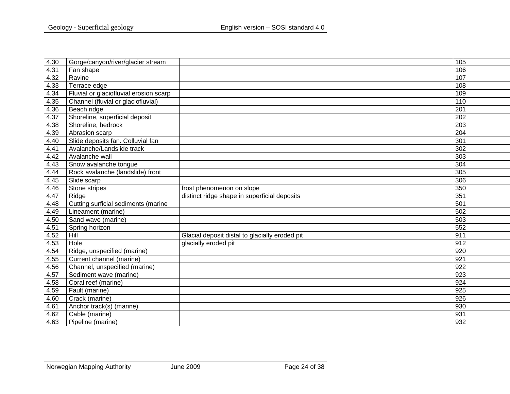| 4.30 | Gorge/canyon/river/glacier stream      |                                                | 105              |
|------|----------------------------------------|------------------------------------------------|------------------|
| 4.31 | Fan shape                              |                                                | 106              |
| 4.32 | Ravine                                 |                                                | 107              |
| 4.33 | Terrace edge                           |                                                | 108              |
| 4.34 | Fluvial or glaciofluvial erosion scarp |                                                | 109              |
| 4.35 | Channel (fluvial or glaciofluvial)     |                                                | 110              |
| 4.36 | Beach ridge                            |                                                | 201              |
| 4.37 | Shoreline, superficial deposit         |                                                | 202              |
| 4.38 | Shoreline, bedrock                     |                                                | 203              |
| 4.39 | Abrasion scarp                         |                                                | 204              |
| 4.40 | Slide deposits fan. Colluvial fan      |                                                | 301              |
| 4.41 | Avalanche/Landslide track              |                                                | 302              |
| 4.42 | Avalanche wall                         |                                                | 303              |
| 4.43 | Snow avalanche tongue                  |                                                | 304              |
| 4.44 | Rock avalanche (landslide) front       |                                                | 305              |
| 4.45 | Slide scarp                            |                                                | 306              |
| 4.46 | Stone stripes                          | frost phenomenon on slope                      | 350              |
| 4.47 | Ridge                                  | distinct ridge shape in superficial deposits   | 351              |
| 4.48 | Cutting surficial sediments (marine    |                                                | 501              |
| 4.49 | Lineament (marine)                     |                                                | 502              |
| 4.50 | Sand wave (marine)                     |                                                | 503              |
| 4.51 | Spring horizon                         |                                                | 552              |
| 4.52 | Hill                                   | Glacial deposit distal to glacially eroded pit | 911              |
| 4.53 | Hole                                   | glacially eroded pit                           | 912              |
| 4.54 | Ridge, unspecified (marine)            |                                                | 920              |
| 4.55 | Current channel (marine)               |                                                | 921              |
| 4.56 | Channel, unspecified (marine)          |                                                | 922              |
| 4.57 | Sediment wave (marine)                 |                                                | 923              |
| 4.58 | Coral reef (marine)                    |                                                | 924              |
| 4.59 | Fault (marine)                         |                                                | 925              |
| 4.60 | Crack (marine)                         |                                                | $\overline{926}$ |
| 4.61 | Anchor track(s) (marine)               |                                                | 930              |
| 4.62 | Cable (marine)                         |                                                | 931              |
| 4.63 | Pipeline (marine)                      |                                                | 932              |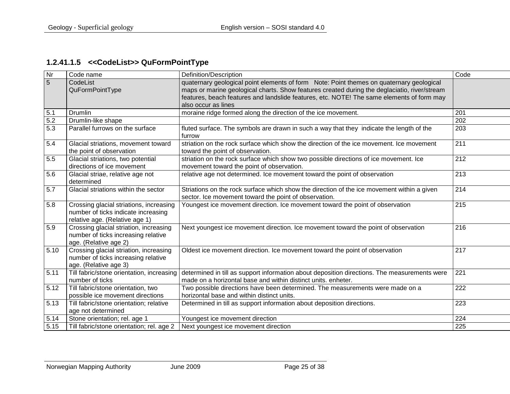# **1.2.41.1.5 <<CodeList>> QuFormPointType**

<span id="page-24-0"></span>

| Nr   | Code name                                                                                                        | Definition/Description                                                                                                                                                                                                                                                                                       | Code             |
|------|------------------------------------------------------------------------------------------------------------------|--------------------------------------------------------------------------------------------------------------------------------------------------------------------------------------------------------------------------------------------------------------------------------------------------------------|------------------|
| 5    | CodeList<br>QuFormPointType                                                                                      | quaternary geological point elements of form Note: Point themes on quaternary geological<br>maps or marine geological charts. Show features created during the deglaciatio, river/stream<br>features, beach features and landslide features, etc. NOTE! The same elements of form may<br>also occur as lines |                  |
| 5.1  | Drumlin                                                                                                          | moraine ridge formed along the direction of the ice movement.                                                                                                                                                                                                                                                | 201              |
| 5.2  | Drumlin-like shape                                                                                               |                                                                                                                                                                                                                                                                                                              | 202              |
| 5.3  | Parallel furrows on the surface                                                                                  | fluted surface. The symbols are drawn in such a way that they indicate the length of the<br>furrow                                                                                                                                                                                                           | 203              |
| 5.4  | Glacial striations, movement toward<br>the point of observation                                                  | striation on the rock surface which show the direction of the ice movement. Ice movement<br>toward the point of observation.                                                                                                                                                                                 | 211              |
| 5.5  | Glacial striations, two potential<br>directions of ice movement                                                  | striation on the rock surface which show two possible directions of ice movement. Ice<br>movement toward the point of observation.                                                                                                                                                                           | 212              |
| 5.6  | Glacial striae, relative age not<br>determined                                                                   | relative age not determined. Ice movement toward the point of observation                                                                                                                                                                                                                                    | 213              |
| 5.7  | Glacial striations within the sector                                                                             | Striations on the rock surface which show the direction of the ice movement within a given<br>sector. Ice movement toward the point of observation.                                                                                                                                                          | 214              |
| 5.8  | Crossing glacial striations, increasing<br>number of ticks indicate increasing<br>relative age. (Relative age 1) | Youngest ice movement direction. Ice movement toward the point of observation                                                                                                                                                                                                                                | $\overline{215}$ |
| 5.9  | Crossing glacial striation, increasing<br>number of ticks increasing relative<br>age. (Relative age 2)           | Next youngest ice movement direction. Ice movement toward the point of observation                                                                                                                                                                                                                           | 216              |
| 5.10 | Crossing glacial striation, increasing<br>number of ticks increasing relative<br>age. (Relative age 3)           | Oldest ice movement direction. Ice movement toward the point of observation                                                                                                                                                                                                                                  | 217              |
| 5.11 | Till fabric/stone orientation, increasing<br>number of ticks                                                     | determined in till as support information about deposition directions. The measurements were<br>made on a horizontal base and within distinct units. enheter.                                                                                                                                                | 221              |
| 5.12 | Till fabric/stone orientation, two<br>possible ice movement directions                                           | Two possible directions have been determined. The measurements were made on a<br>horizontal base and within distinct units.                                                                                                                                                                                  | 222              |
| 5.13 | Till fabric/stone orientation; relative<br>age not determined                                                    | Determined in till as support information about deposition directions.                                                                                                                                                                                                                                       | 223              |
| 5.14 | Stone orientation; rel. age 1                                                                                    | Youngest ice movement direction                                                                                                                                                                                                                                                                              | 224              |
| 5.15 | Till fabric/stone orientation; rel. age 2                                                                        | Next youngest ice movement direction                                                                                                                                                                                                                                                                         | 225              |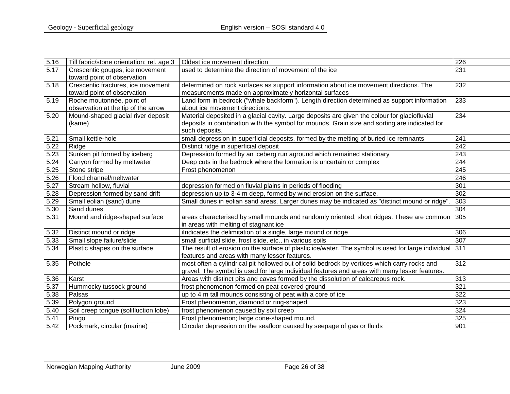| 5.16 | Till fabric/stone orientation; rel. age 3                      | Oldest ice movement direction                                                                                                      | 226              |
|------|----------------------------------------------------------------|------------------------------------------------------------------------------------------------------------------------------------|------------------|
| 5.17 | Crescentic gouges, ice movement<br>toward point of observation | used to determine the direction of movement of the ice                                                                             | 231              |
| 5.18 | Crescentic fractures, ice movement                             | determined on rock surfaces as support information about ice movement directions. The                                              | 232              |
|      | toward point of observation                                    | measurements made on approximately horizontal surfaces                                                                             |                  |
| 5.19 | Roche moutonnée, point of                                      | Land form in bedrock ("whale backform"). Length direction determined as support information                                        | 233              |
|      | observation at the tip of the arrow                            | about ice movement directions.                                                                                                     |                  |
| 5.20 | Mound-shaped glacial river deposit                             | Material deposited in a glacial cavity. Large deposits are given the colour for glaciofluvial                                      | 234              |
|      | (kame)                                                         | deposits in combination with the symbol for mounds. Grain size and sorting are indicated for                                       |                  |
|      |                                                                | such deposits.                                                                                                                     |                  |
| 5.21 | Small kettle-hole                                              | small depression in superficial deposits, formed by the melting of buried ice remnants                                             | 241              |
| 5.22 | Ridge                                                          | Distinct ridge in superficial deposit                                                                                              | 242              |
| 5.23 | Sunken pit formed by iceberg                                   | Depression formed by an iceberg run aground which remained stationary                                                              | 243              |
| 5.24 | Canyon formed by meltwater                                     | Deep cuts in the bedrock where the formation is uncertain or complex                                                               | 244              |
| 5.25 | Stone stripe                                                   | Frost phenomenon                                                                                                                   | 245              |
| 5.26 | Flood channel/meltwater                                        |                                                                                                                                    | $\overline{246}$ |
| 5.27 | Stream hollow, fluvial                                         | depression formed on fluvial plains in periods of flooding                                                                         | 301              |
| 5.28 | Depression formed by sand drift                                | depression up to 3-4 m deep, formed by wind erosion on the surface.                                                                | 302              |
| 5.29 | Small eolian (sand) dune                                       | Small dunes in eolian sand areas. Larger dunes may be indicated as "distinct mound or ridge"                                       | 303              |
| 5.30 | Sand dunes                                                     |                                                                                                                                    | 304              |
| 5.31 | Mound and ridge-shaped surface                                 | areas characterised by small mounds and randomly oriented, short ridges. These are common<br>in areas with melting of stagnant ice | 305              |
| 5.32 | Distinct mound or ridge                                        | ilndicates the delimitation of a single, large mound or ridge                                                                      | 306              |
| 5.33 | Small slope failure/slide                                      | small surficial slide, frost slide, etc., in various soils                                                                         | 307              |
| 5.34 | Plastic shapes on the surface                                  | The result of erosion on the surface of plastic ice/water. The symbol is used for large individual 311                             |                  |
|      |                                                                | features and areas with many lesser features.                                                                                      |                  |
| 5.35 | Pothole                                                        | most often a cylindrical pit hollowed out of solid bedrock by vortices which carry rocks and                                       | 312              |
|      |                                                                | gravel. The symbol is used for large individual features and areas with many lesser features.                                      |                  |
| 5.36 | Karst                                                          | Areas with distinct pits and caves formed by the dissolution of calcareous rock.                                                   | 313              |
| 5.37 | Hummocky tussock ground                                        | frost phenomenon formed on peat-covered ground                                                                                     | 321              |
| 5.38 | Palsas                                                         | up to 4 m tall mounds consisting of peat with a core of ice                                                                        | 322              |
| 5.39 | Polygon ground                                                 | Frost phenomenon, diamond or ring-shaped.                                                                                          | 323              |
| 5.40 | Soil creep tongue (solifluction lobe)                          | frost phenomenon caused by soil creep                                                                                              | 324              |
| 5.41 | Pingo                                                          | Frost phenomenon; large cone-shaped mound.                                                                                         | 325              |
| 5.42 | Pockmark, circular (marine)                                    | Circular depression on the seafloor caused by seepage of gas or fluids                                                             | 901              |
|      |                                                                |                                                                                                                                    |                  |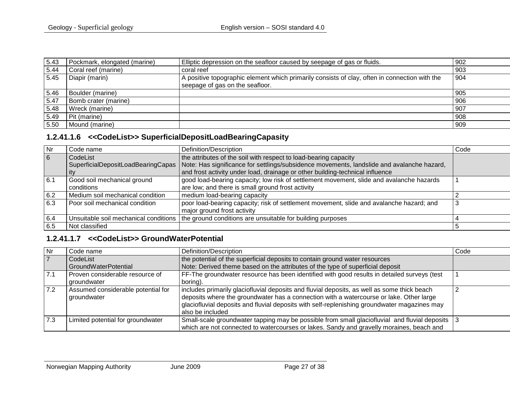| 5.43 | Pockmark, elongated (marine) | Elliptic depression on the seafloor caused by seepage of gas or fluids.                                                          | 902 |
|------|------------------------------|----------------------------------------------------------------------------------------------------------------------------------|-----|
| 5.44 | Coral reef (marine)          | coral reef                                                                                                                       | 903 |
| 5.45 | Diapir (marin)               | A positive topographic element which primarily consists of clay, often in connection with the<br>seepage of gas on the seafloor. | 904 |
| 5.46 | Boulder (marine)             |                                                                                                                                  | 905 |
| 5.47 | Bomb crater (marine)         |                                                                                                                                  | 906 |
| 5.48 | Wreck (marine)               |                                                                                                                                  | 907 |
| 5.49 | Pit (marine)                 |                                                                                                                                  | 908 |
| 5.50 | Mound (marine)               |                                                                                                                                  | 909 |

# **1.2.41.1.6 <<CodeList>> SuperficialDepositLoadBearingCapasity**

| Nr             | Code name                        | Definition/Description                                                                                                          | Code |
|----------------|----------------------------------|---------------------------------------------------------------------------------------------------------------------------------|------|
| $\overline{6}$ | CodeList                         | the attributes of the soil with respect to load-bearing capacity                                                                |      |
|                |                                  | SuperficialDepositLoadBearingCapas   Note: Has significance for settlings/subsidence movements, landslide and avalanche hazard, |      |
|                | ∣it∨                             | and frost activity under load, drainage or other building-technical influence                                                   |      |
| 6.1            | Good soil mechanical ground      | good load-bearing capacity; low risk of settlement movement, slide and avalanche hazards                                        |      |
|                | conditions                       | are low; and there is small ground frost activity                                                                               |      |
| 6.2            | Medium soil mechanical condition | medium load-bearing capacity                                                                                                    |      |
| 6.3            | Poor soil mechanical condition   | poor load-bearing capacity; risk of settlement movement, slide and avalanche hazard; and                                        |      |
|                |                                  | major ground frost activity                                                                                                     |      |
| 6.4            |                                  | Unsuitable soil mechanical conditions   the ground conditions are unsuitable for building purposes                              |      |
| 6.5            | Not classified                   |                                                                                                                                 |      |

# **1.2.41.1.7 <<CodeList>> GroundWaterPotential**

<span id="page-26-1"></span><span id="page-26-0"></span>

| Nr  | Code name                                         | Definition/Description                                                                                                                                                                                                                                                                                     | Code |
|-----|---------------------------------------------------|------------------------------------------------------------------------------------------------------------------------------------------------------------------------------------------------------------------------------------------------------------------------------------------------------------|------|
|     | CodeList                                          | the potential of the superficial deposits to contain ground water resources                                                                                                                                                                                                                                |      |
|     | <b>GroundWaterPotential</b>                       | Note: Derived theme based on the attributes of the type of superficial deposit                                                                                                                                                                                                                             |      |
| 7.1 | Proven considerable resource of<br>groundwater    | FF-The groundwater resource has been identified with good results in detailed surveys (test<br>boring).                                                                                                                                                                                                    |      |
| 7.2 | Assumed considerable potential for<br>groundwater | includes primarily glaciofluvial deposits and fluvial deposits, as well as some thick beach<br>deposits where the groundwater has a connection with a watercourse or lake. Other large<br>glaciofluvial deposits and fluvial deposits with self-replenishing groundwater magazines may<br>also be included |      |
| 7.3 | Limited potential for groundwater                 | Small-scale groundwater tapping may be possible from small glaciofluvial and fluvial deposits 3<br>which are not connected to watercourses or lakes. Sandy and gravelly moraines, beach and                                                                                                                |      |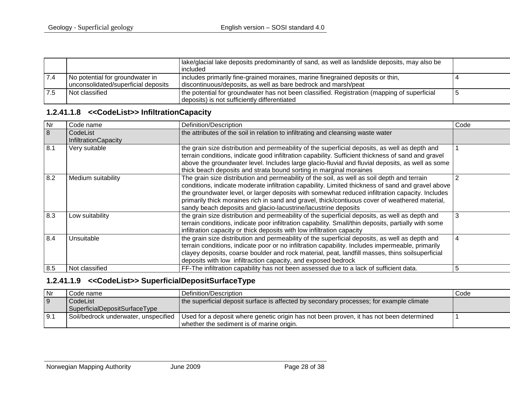|      |                                                                        | Iake/glacial lake deposits predominantly of sand, as well as landslide deposits, may also be<br>included                                         |  |
|------|------------------------------------------------------------------------|--------------------------------------------------------------------------------------------------------------------------------------------------|--|
|      | No potential for groundwater in<br>unconsolidated/superficial deposits | includes primarily fine-grained moraines, marine finegrained deposits or thin,<br>discontinuous/deposits, as well as bare bedrock and marsh/peat |  |
| 17.5 | Not classified                                                         | the potential for groundwater has not been classified. Registration (mapping of superficial<br>deposits) is not sufficiently differentiated      |  |

# **1.2.41.1.8 <<CodeList>> InfiltrationCapacity**

| Nr  | Code name                               | Definition/Description                                                                                                                                                                                                                                                                                                                                                                                                                                                  | Code |
|-----|-----------------------------------------|-------------------------------------------------------------------------------------------------------------------------------------------------------------------------------------------------------------------------------------------------------------------------------------------------------------------------------------------------------------------------------------------------------------------------------------------------------------------------|------|
| 8   | CodeList<br><b>InfiltrationCapacity</b> | the attributes of the soil in relation to infiltrating and cleansing waste water                                                                                                                                                                                                                                                                                                                                                                                        |      |
| 8.1 | Very suitable                           | the grain size distribution and permeability of the superficial deposits, as well as depth and<br>terrain conditions, indicate good infiltration capability. Sufficient thickness of sand and gravel<br>above the groundwater level. Includes large glacio-fluvial and fluvial deposits, as well as some<br>thick beach deposits and strata bound sorting in marginal moraines                                                                                          |      |
| 8.2 | Medium suitability                      | The grain size distribution and permeability of the soil, as well as soil depth and terrain<br>conditions, indicate moderate infiltration capability. Limited thickness of sand and gravel above<br>the groundwater level, or larger deposits with somewhat reduced infiltration capacity. Includes<br>primarily thick moraines rich in sand and gravel, thick/contiuous cover of weathered material,<br>sandy beach deposits and glacio-lacustrine/lacustrine deposits |      |
| 8.3 | Low suitability                         | the grain size distribution and permeability of the superficial deposits, as well as depth and<br>terrain conditions, indicate poor infiltration capability. Small/thin deposits, partially with some<br>infiltration capacity or thick deposits with low infiltration capacity                                                                                                                                                                                         | 3    |
| 8.4 | Unsuitable                              | the grain size distribution and permeability of the superficial deposits, as well as depth and<br>terrain conditions, indicate poor or no infiltration capability. Includes impermeable, primarily<br>clayey deposits, coarse boulder and rock material, peat, landfill masses, thins soilsuperficial<br>deposits with low infiltraction capacity, and exposed bedrock                                                                                                  | 4    |
| 8.5 | Not classified                          | FF-The infiltration capability has not been assessed due to a lack of sufficient data.                                                                                                                                                                                                                                                                                                                                                                                  | 5    |

#### <span id="page-27-0"></span>**1.2.41.1.9 <<CodeList>> SuperficialDepositSurfaceType**

<span id="page-27-1"></span>

| Nr    | Code name                            | l Definition/Description_                                                               | Code |
|-------|--------------------------------------|-----------------------------------------------------------------------------------------|------|
| l 9   | CodeList                             | the superficial deposit surface is affected by secondary processes; for example climate |      |
|       | SuperficialDepositSurfaceType        |                                                                                         |      |
| l 9.1 | Soil/bedrock underwater, unspecified | Used for a deposit where genetic origin has not been proven, it has not been determined |      |
|       |                                      | whether the sediment is of marine origin.                                               |      |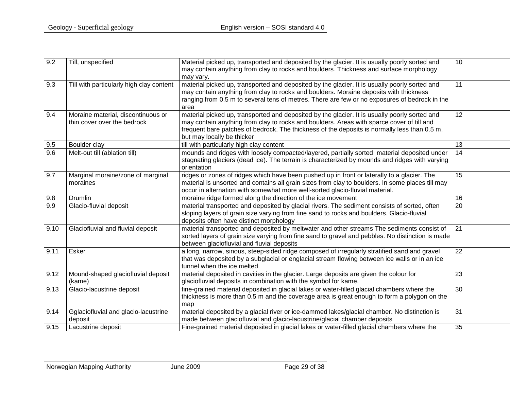| 9.2  | Till, unspecified                                                 | Material picked up, transported and deposited by the glacier. It is usually poorly sorted and<br>may contain anything from clay to rocks and boulders. Thickness and surface morphology<br>may vary.                                                                                                                     | 10              |
|------|-------------------------------------------------------------------|--------------------------------------------------------------------------------------------------------------------------------------------------------------------------------------------------------------------------------------------------------------------------------------------------------------------------|-----------------|
| 9.3  | Till with particularly high clay content                          | material picked up, transported and deposited by the glacier. It is usually poorly sorted and<br>may contain anything from clay to rocks and boulders. Moraine deposits with thickness<br>ranging from 0.5 m to several tens of metres. There are few or no exposures of bedrock in the<br>area                          | 11              |
| 9.4  | Moraine material, discontinuous or<br>thin cover over the bedrock | material picked up, transported and deposited by the glacier. It is usually poorly sorted and<br>may contain anything from clay to rocks and boulders. Areas with sparce cover of till and<br>frequent bare patches of bedrock. The thickness of the deposits is normally less than 0.5 m,<br>but may locally be thicker | 12 <sup>2</sup> |
| 9.5  | Boulder clay                                                      | till with particularly high clay content                                                                                                                                                                                                                                                                                 | 13              |
| 9.6  | Melt-out till (ablation till)                                     | mounds and ridges with loosely compacted/layered, partially sorted material deposited under<br>stagnating glaciers (dead ice). The terrain is characterized by mounds and ridges with varying<br>orientation                                                                                                             | 14              |
| 9.7  | Marginal moraine/zone of marginal<br>moraines                     | ridges or zones of ridges which have been pushed up in front or laterally to a glacier. The<br>material is unsorted and contains all grain sizes from clay to boulders. In some places till may<br>occur in alternation with somewhat more well-sorted glacio-fluvial material.                                          | 15              |
| 9.8  | Drumlin                                                           | moraine ridge formed along the direction of the ice movement                                                                                                                                                                                                                                                             | 16              |
| 9.9  | Glacio-fluvial deposit                                            | material transported and deposited by glacial rivers. The sediment consists of sorted, often<br>sloping layers of grain size varying from fine sand to rocks and boulders. Glacio-fluvial<br>deposits often have distinct morphology                                                                                     | 20              |
| 9.10 | Glaciofluvial and fluvial deposit                                 | material transported and deposited by meltwater and other streams The sediments consist of<br>sorted layers of grain size varying from fine sand to gravel and pebbles. No distinction is made<br>between glaciofluvial and fluvial deposits                                                                             | 21              |
| 9.11 | Esker                                                             | a long, narrow, sinous, steep-sided ridge composed of irregularly stratified sand and gravel<br>that was deposited by a subglacial or englacial stream flowing between ice walls or in an ice<br>tunnel when the ice melted.                                                                                             | 22              |
| 9.12 | Mound-shaped glaciofluvial deposit<br>(kame)                      | material deposited in cavities in the glacier. Large deposits are given the colour for<br>glaciofluvial deposits in combination with the symbol for kame.                                                                                                                                                                | 23              |
| 9.13 | Glacio-lacustrine deposit                                         | fine-grained material deposited in glacial lakes or water-filled glacial chambers where the<br>thickness is more than 0.5 m and the coverage area is great enough to form a polygon on the<br>map                                                                                                                        | 30              |
| 9.14 | Gglaciofluvial and glacio-lacustrine<br>deposit                   | material deposited by a glacial river or ice-dammed lakes/glacial chamber. No distinction is<br>made between glaciofluvial and glacio-lacustrine/glacial chamber deposits                                                                                                                                                | 31              |
| 9.15 | Lacustrine deposit                                                | Fine-grained material deposited in glacial lakes or water-filled glacial chambers where the                                                                                                                                                                                                                              | 35              |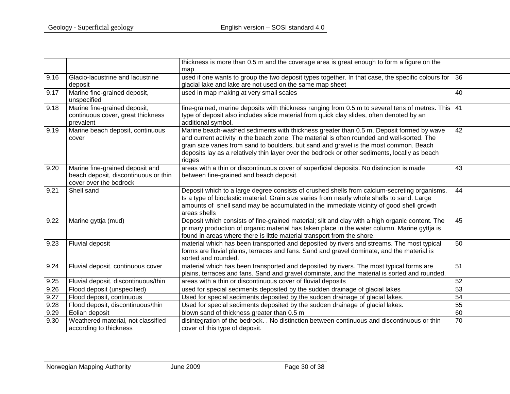|      |                                                                                                   | thickness is more than 0.5 m and the coverage area is great enough to form a figure on the                                                                                                                                                                                                                                                                                                 |    |
|------|---------------------------------------------------------------------------------------------------|--------------------------------------------------------------------------------------------------------------------------------------------------------------------------------------------------------------------------------------------------------------------------------------------------------------------------------------------------------------------------------------------|----|
|      |                                                                                                   | map.                                                                                                                                                                                                                                                                                                                                                                                       |    |
| 9.16 | Glacio-lacustrine and lacustrine<br>deposit                                                       | used if one wants to group the two deposit types together. In that case, the specific colours for<br>glacial lake and lake are not used on the same map sheet                                                                                                                                                                                                                              | 36 |
| 9.17 | Marine fine-grained deposit,<br>unspecified                                                       | used in map making at very small scales                                                                                                                                                                                                                                                                                                                                                    | 40 |
| 9.18 | Marine fine-grained deposit,<br>continuous cover, great thickness<br>prevalent                    | fine-grained, marine deposits with thickness ranging from 0.5 m to several tens of metres. This 41<br>type of deposit also includes slide material from quick clay slides, often denoted by an<br>additional symbol.                                                                                                                                                                       |    |
| 9.19 | Marine beach deposit, continuous<br>cover                                                         | Marine beach-washed sediments with thickness greater than 0.5 m. Deposit formed by wave<br>and current activity in the beach zone. The material is often rounded and well-sorted. The<br>grain size varies from sand to boulders, but sand and gravel is the most common. Beach<br>deposits lay as a relatively thin layer over the bedrock or other sediments, locally as beach<br>ridges | 42 |
| 9.20 | Marine fine-grained deposit and<br>beach deposit, discontinuous or thin<br>cover over the bedrock | areas with a thin or discontinuous cover of superficial deposits. No distinction is made<br>between fine-grained and beach deposit.                                                                                                                                                                                                                                                        | 43 |
| 9.21 | Shell sand                                                                                        | Deposit which to a large degree consists of crushed shells from calcium-secreting organisms.<br>Is a type of bioclastic material. Grain size varies from nearly whole shells to sand. Large<br>amounts of shell sand may be accumulated in the immediate vicinity of good shell growth<br>areas shells                                                                                     | 44 |
| 9.22 | Marine gyttja (mud)                                                                               | Deposit which consists of fine-grained material; silt and clay with a high organic content. The<br>primary production of organic material has taken place in the water column. Marine gyttja is<br>found in areas where there is little material transport from the shore.                                                                                                                 | 45 |
| 9.23 | <b>Fluvial deposit</b>                                                                            | material which has been transported and deposited by rivers and streams. The most typical<br>forms are fluvial plains, terraces and fans. Sand and gravel dominate, and the material is<br>sorted and rounded.                                                                                                                                                                             | 50 |
| 9.24 | Fluvial deposit, continuous cover                                                                 | material which has been transported and deposited by rivers. The most typical forms are<br>plains, terraces and fans. Sand and gravel dominate, and the material is sorted and rounded.                                                                                                                                                                                                    | 51 |
| 9.25 | Fluvial deposit, discontinuous/thin                                                               | areas with a thin or discontinuous cover of fluvial deposits                                                                                                                                                                                                                                                                                                                               | 52 |
| 9.26 | Flood deposit (unspecified)                                                                       | used for special sediments deposited by the sudden drainage of glacial lakes                                                                                                                                                                                                                                                                                                               | 53 |
| 9.27 | Flood deposit, continuous                                                                         | Used for special sediments deposited by the sudden drainage of glacial lakes.                                                                                                                                                                                                                                                                                                              | 54 |
| 9.28 | Flood deposit, discontinuous/thin                                                                 | Used for special sediments deposited by the sudden drainage of glacial lakes.                                                                                                                                                                                                                                                                                                              | 55 |
| 9.29 | Eolian deposit                                                                                    | blown sand of thickness greater than 0.5 m                                                                                                                                                                                                                                                                                                                                                 | 60 |
| 9.30 | Weathered material, not classified<br>according to thickness                                      | disintegration of the bedrock. . No distinction between continuous and discontinuous or thin<br>cover of this type of deposit.                                                                                                                                                                                                                                                             | 70 |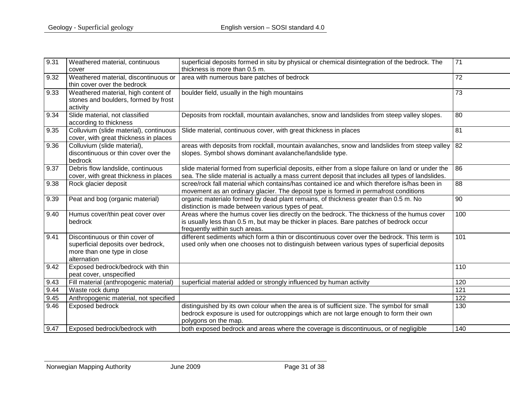| 9.31 | Weathered material, continuous                                                                                     | superficial deposits formed in situ by physical or chemical disintegration of the bedrock. The<br>thickness is more than 0.5 m.                                                                                        | 71  |
|------|--------------------------------------------------------------------------------------------------------------------|------------------------------------------------------------------------------------------------------------------------------------------------------------------------------------------------------------------------|-----|
|      | cover                                                                                                              |                                                                                                                                                                                                                        |     |
| 9.32 | Weathered material, discontinuous or<br>thin cover over the bedrock                                                | area with numerous bare patches of bedrock                                                                                                                                                                             | 72  |
| 9.33 | Weathered material, high content of<br>stones and boulders, formed by frost<br>activity                            | boulder field, usually in the high mountains                                                                                                                                                                           | 73  |
| 9.34 | Slide material, not classified<br>according to thickness                                                           | Deposits from rockfall, mountain avalanches, snow and landslides from steep valley slopes.                                                                                                                             | 80  |
| 9.35 | Colluvium (slide material), continuous<br>cover, with great thickness in places                                    | Slide material, continuous cover, with great thickness in places                                                                                                                                                       | 81  |
| 9.36 | Colluvium (slide material),<br>discontinuous or thin cover over the<br>bedrock                                     | areas with deposits from rockfall, mountain avalanches, snow and landslides from steep valley $ 82 $<br>slopes. Symbol shows dominant avalanche/landslide type.                                                        |     |
| 9.37 | Debris flow landslide, continuous<br>cover, with great thickness in places                                         | slide material formed from superficial deposits, either from a slope failure on land or under the<br>sea. The slide material is actually a mass current deposit that includes all types of landslides.                 | 86  |
| 9.38 | Rock glacier deposit                                                                                               | scree/rock fall material which contains/has contained ice and which therefore is/has been in<br>movement as an ordinary glacier. The deposit type is formed in permafrost conditions                                   | 88  |
| 9.39 | Peat and bog (organic material)                                                                                    | organic materialo formed by dead plant remains, of thickness greater than 0.5 m. No<br>distinction is made between various types of peat.                                                                              | 90  |
| 9.40 | Humus cover/thin peat cover over<br>bedrock                                                                        | Areas where the humus cover lies directly on the bedrock. The thickness of the humus cover<br>is usually less than 0.5 m, but may be thicker in places. Bare patches of bedrock occur<br>frequently within such areas. | 100 |
| 9.41 | Discontinuous or thin cover of<br>superficial deposits over bedrock,<br>more than one type in close<br>alternation | different sediments which form a thin or discontinuous cover over the bedrock. This term is<br>used only when one chooses not to distinguish between various types of superficial deposits                             | 101 |
| 9.42 | Exposed bedrock/bedrock with thin<br>peat cover, unspecified                                                       |                                                                                                                                                                                                                        | 110 |
| 9.43 | Fill material (anthropogenic material)                                                                             | superficial material added or strongly influenced by human activity                                                                                                                                                    | 120 |
| 9.44 | Waste rock dump                                                                                                    |                                                                                                                                                                                                                        | 121 |
| 9.45 | Anthropogenic material, not specified                                                                              |                                                                                                                                                                                                                        | 122 |
| 9.46 | <b>Exposed bedrock</b>                                                                                             | distinguished by its own colour when the area is of sufficient size. The symbol for small<br>bedrock exposure is used for outcroppings which are not large enough to form their own<br>polygons on the map.            | 130 |
| 9.47 | Exposed bedrock/bedrock with                                                                                       | both exposed bedrock and areas where the coverage is discontinuous, or of negligible                                                                                                                                   | 140 |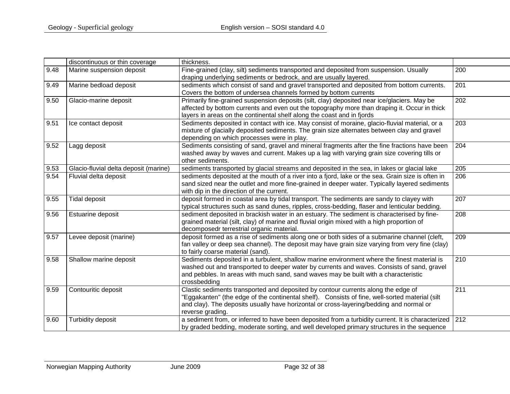|      | discontinuous or thin coverage        | thickness.                                                                                                                                                                                                                                                                                         |     |
|------|---------------------------------------|----------------------------------------------------------------------------------------------------------------------------------------------------------------------------------------------------------------------------------------------------------------------------------------------------|-----|
| 9.48 | Marine suspension deposit             | Fine-grained (clay, silt) sediments transported and deposited from suspension. Usually<br>draping underlying sediments or bedrock, and are usually layered.                                                                                                                                        | 200 |
| 9.49 | Marine bedload deposit                | sediments which consist of sand and gravel transported and deposited from bottom currents.<br>Covers the bottom of undersea channels formed by bottom currents                                                                                                                                     | 201 |
| 9.50 | Glacio-marine deposit                 | Primarily fine-grained suspension deposits (silt, clay) deposited near ice/glaciers. May be<br>affected by bottom currents and even out the topography more than draping it. Occur in thick<br>layers in areas on the continental shelf along the coast and in fjords                              | 202 |
| 9.51 | Ice contact deposit                   | Sediments deposited in contact with ice. May consist of moraine, glacio-fluvial material, or a<br>mixture of glacially deposited sediments. The grain size alternates between clay and gravel<br>depending on which processes were in play.                                                        | 203 |
| 9.52 | Lagg deposit                          | Sediments consisting of sand, gravel and mineral fragments after the fine fractions have been<br>washed away by waves and current. Makes up a lag with varying grain size covering tills or<br>other sediments.                                                                                    | 204 |
| 9.53 | Glacio-fluvial delta deposit (marine) | sediments transported by glacial streams and deposited in the sea, in lakes or glacial lake                                                                                                                                                                                                        | 205 |
| 9.54 | Fluvial delta deposit                 | sediments deposited at the mouth of a river into a fjord, lake or the sea. Grain size is often in<br>sand sized near the outlet and more fine-grained in deeper water. Typically layered sediments<br>with dip in the direction of the current.                                                    | 206 |
| 9.55 | Tidal deposit                         | deposit formed in coastal area by tidal transport. The sediments are sandy to clayey with<br>typical structures such as sand dunes, ripples, cross-bedding, flaser and lenticular bedding.                                                                                                         | 207 |
| 9.56 | Estuarine deposit                     | sediment deposited in brackish water in an estuary. The sediment is characterised by fine-<br>grained material (silt, clay) of marine and fluvial origin mixed with a high proportion of<br>decomposedr terrestrial organic material.                                                              | 208 |
| 9.57 | Levee deposit (marine)                | deposit formed as a rise of sediments along one or both sides of a submarine channel (cleft,<br>fan valley or deep sea channel). The deposit may have grain size varying from very fine (clay)<br>to fairly coarse material (sand).                                                                | 209 |
| 9.58 | Shallow marine deposit                | Sediments deposited in a turbulent, shallow marine environment where the finest material is<br>washed out and transported to deeper water by currents and waves. Consists of sand, gravel<br>and pebbles. In areas with much sand, sand waves may be built with a characteristic<br>crossbedding   | 210 |
| 9.59 | Contouritic deposit                   | Clastic sediments transported and deposited by contour currents along the edge of<br>"Eggakanten" (the edge of the continental shelf). Consists of fine, well-sorted material (silt<br>and clay). The deposits usually have horizontal or cross-layering/bedding and normal or<br>reverse grading. | 211 |
| 9.60 | Turbidity deposit                     | a sediment from, or inferred to have been deposited from a turbidity current. It is characterized<br>by graded bedding, moderate sorting, and well developed primary structures in the sequence                                                                                                    | 212 |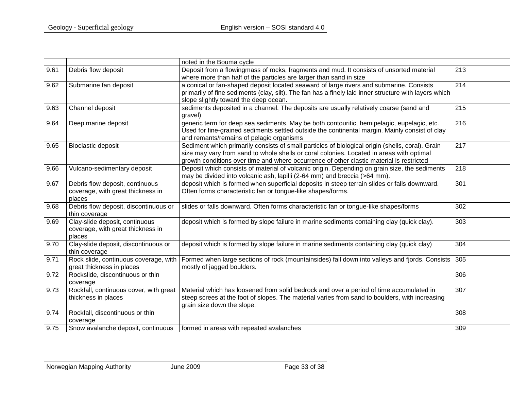|      |                                                                                | noted in the Bouma cycle                                                                                                                                                                                                                                                                 |                  |
|------|--------------------------------------------------------------------------------|------------------------------------------------------------------------------------------------------------------------------------------------------------------------------------------------------------------------------------------------------------------------------------------|------------------|
| 9.61 | Debris flow deposit                                                            | Deposit from a flowingmass of rocks, fragments and mud. It consists of unsorted material<br>where more than half of the particles are larger than sand in size                                                                                                                           | 213              |
| 9.62 | Submarine fan deposit                                                          | a conical or fan-shaped deposit located seaward of large rivers and submarine. Consists<br>primarily of fine sediments (clay, silt). The fan has a finely laid inner structure with layers which<br>slope slightly toward the deep ocean.                                                | $\overline{214}$ |
| 9.63 | Channel deposit                                                                | sediments deposited in a channel. The deposits are usually relatively coarse (sand and<br>gravel)                                                                                                                                                                                        | 215              |
| 9.64 | Deep marine deposit                                                            | generic term for deep sea sediments. May be both contouritic, hemipelagic, eupelagic, etc.<br>Used for fine-grained sediments settled outside the continental margin. Mainly consist of clay<br>and remants/remains of pelagic organisms                                                 | 216              |
| 9.65 | <b>Bioclastic deposit</b>                                                      | Sediment which primarily consists of small particles of biological origin (shells, coral). Grain<br>size may vary from sand to whole shells or coral colonies. Located in areas with optimal<br>growth conditions over time and where occurrence of other clastic material is restricted | 217              |
| 9.66 | Vulcano-sedimentary deposit                                                    | Deposit which consists of material of volcanic origin. Depending on grain size, the sediments<br>may be divided into volcanic ash, lapilli (2-64 mm) and breccia (>64 mm).                                                                                                               | 218              |
| 9.67 | Debris flow deposit, continuous<br>coverage, with great thickness in<br>places | deposit which is formed when superficial deposits in steep terrain slides or falls downward.<br>Often forms characteristic fan or tongue-like shapes/forms.                                                                                                                              | 301              |
| 9.68 | Debris flow deposit, discontinuous or<br>thin coverage                         | slides or falls downward. Often forms characteristic fan or tongue-like shapes/forms                                                                                                                                                                                                     | 302              |
| 9.69 | Clay-slide deposit, continuous<br>coverage, with great thickness in<br>places  | deposit which is formed by slope failure in marine sediments containing clay (quick clay).                                                                                                                                                                                               | 303              |
| 9.70 | Clay-slide deposit, discontinuous or<br>thin coverage                          | deposit which is formed by slope failure in marine sediments containing clay (quick clay)                                                                                                                                                                                                | 304              |
| 9.71 | Rock slide, continuous coverage, with<br>great thickness in places             | Formed when large sections of rock (mountainsides) fall down into valleys and fjords. Consists<br>mostly of jagged boulders.                                                                                                                                                             | 305              |
| 9.72 | Rockslide, discontinuous or thin<br>coverage                                   |                                                                                                                                                                                                                                                                                          | 306              |
| 9.73 | Rockfall, continuous cover, with great<br>thickness in places                  | Material which has loosened from solid bedrock and over a period of time accumulated in<br>steep screes at the foot of slopes. The material varies from sand to boulders, with increasing<br>grain size down the slope.                                                                  | 307              |
| 9.74 | Rockfall, discontinuous or thin<br>coverage                                    |                                                                                                                                                                                                                                                                                          | 308              |
| 9.75 | Snow avalanche deposit, continuous                                             | formed in areas with repeated avalanches                                                                                                                                                                                                                                                 | 309              |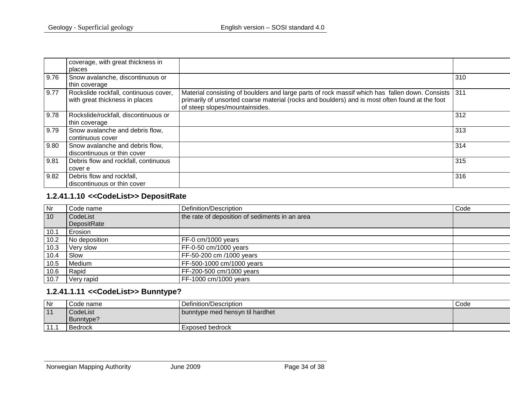|      | coverage, with great thickness in                                       |                                                                                                                                                                                                                                    |     |
|------|-------------------------------------------------------------------------|------------------------------------------------------------------------------------------------------------------------------------------------------------------------------------------------------------------------------------|-----|
|      | places                                                                  |                                                                                                                                                                                                                                    |     |
| 9.76 | Snow avalanche, discontinuous or<br>thin coverage                       |                                                                                                                                                                                                                                    | 310 |
| 9.77 | Rockslide rockfall, continuous cover,<br>with great thickness in places | Material consisting of boulders and large parts of rock massif which has fallen down. Consists<br>primarily of unsorted coarse material (rocks and boulders) and is most often found at the foot<br>of steep slopes/mountainsides. | 311 |
| 9.78 | Rockslide/rockfall, discontinuous or<br>thin coverage                   |                                                                                                                                                                                                                                    | 312 |
| 9.79 | Snow avalanche and debris flow,<br>continuous cover                     |                                                                                                                                                                                                                                    | 313 |
| 9.80 | Snow avalanche and debris flow,<br>discontinuous or thin cover          |                                                                                                                                                                                                                                    | 314 |
| 9.81 | Debris flow and rockfall, continuous<br>cover e                         |                                                                                                                                                                                                                                    | 315 |
| 9.82 | Debris flow and rockfall,<br>discontinuous or thin cover                |                                                                                                                                                                                                                                    | 316 |

# **1.2.41.1.10 <<CodeList>> DepositRate**

| Nr   | I Code name   | Definition/Description                         | Code |
|------|---------------|------------------------------------------------|------|
| 10   | CodeList      | the rate of deposition of sediments in an area |      |
|      | DepositRate   |                                                |      |
| 10.1 | Erosion       |                                                |      |
| 10.2 | No deposition | FF-0 cm/1000 years                             |      |
| 10.3 | Very slow     | FF-0-50 cm/1000 years                          |      |
| 10.4 | Slow          | FF-50-200 cm /1000 years                       |      |
| 10.5 | Medium        | FF-500-1000 cm/1000 years                      |      |
| 10.6 | Rapid         | FF-200-500 cm/1000 years                       |      |
| 10.7 | Very rapid    | FF-1000 cm/1000 years                          |      |

# **1.2.41.1.11 <<CodeList>> Bunntype?**

<span id="page-33-1"></span><span id="page-33-0"></span>

| Nr   | Code name      | Definition/Description           | Code |
|------|----------------|----------------------------------|------|
| 11   | CodeList       | Ubunntype med hensyn til hardhet |      |
|      | Bunntype?      |                                  |      |
| 11.1 | <b>Bedrock</b> | Exposed bedrock                  |      |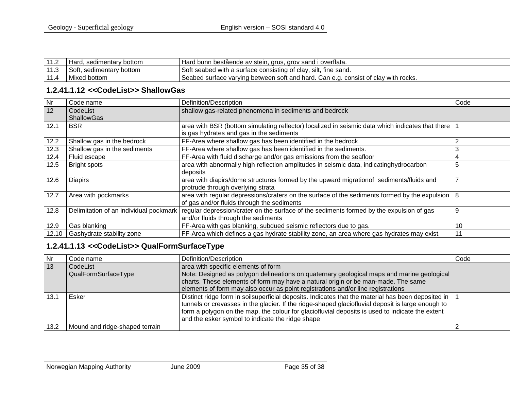|   | Hard, sedimentary bottom       | I Hard bunn bestående av stein, grus, grov sand i overflata.                        |  |
|---|--------------------------------|-------------------------------------------------------------------------------------|--|
| . | Soft,<br>., sedimentary bottom | Soft seabed with a surface consisting of clay, silt, fine sand.                     |  |
|   | Mixed bottom                   | 'Seabed surface varying between soft and hard. Can e.g. consist of clay with rocks. |  |

#### **1.2.41.1.12 <<CodeList>> ShallowGas**

| Nr    | Code name                              | Definition/Description                                                                                                                            | Code |
|-------|----------------------------------------|---------------------------------------------------------------------------------------------------------------------------------------------------|------|
| 12    | CodeList<br><b>ShallowGas</b>          | shallow gas-related phenomena in sediments and bedrock                                                                                            |      |
| 12.1  | <b>BSR</b>                             | area with BSR (bottom simulating reflector) localized in seismic data which indicates that there<br>is gas hydrates and gas in the sediments      |      |
| 12.2  | Shallow gas in the bedrock             | FF-Area where shallow gas has been identified in the bedrock.                                                                                     | ◠    |
| 12.3  | Shallow gas in the sediments           | FF-Area where shallow gas has been identified in the sediments.                                                                                   |      |
| 12.4  | Fluid escape                           | FF-Area with fluid discharge and/or gas emissions from the seafloor                                                                               | 4    |
| 12.5  | <b>Bright spots</b>                    | area with abnormally high reflection amplitudes in seismic data, indicatinghydrocarbon<br>deposits                                                | 5    |
| 12.6  | <b>Diapirs</b>                         | area with diapirs/dome structures formed by the upward migrationof sediments/fluids and<br>protrude through overlying strata                      |      |
| 12.7  | Area with pockmarks                    | area with regular depressions/craters on the surface of the sediments formed by the expulsion $ 8 $<br>of gas and/or fluids through the sediments |      |
| 12.8  | Delimitation of an individual pockmark | regular depression/crater on the surface of the sediments formed by the expulsion of gas<br>and/or fluids through the sediments                   | 9    |
| 12.9  | Gas blanking                           | FF-Area with gas blanking, subdued seismic reflectors due to gas.                                                                                 | 10   |
| 12.10 | Gashydrate stability zone              | FF-Area which defines a gas hydrate stability zone, an area where gas hydrates may exist.                                                         | 11   |

# <span id="page-34-0"></span>**1.2.41.1.13 <<CodeList>> QualFormSurfaceType**

<span id="page-34-1"></span>

| Nr         | Code name                       | Definition/Description                                                                                                                                                                                                                                                                                                                                         | Code |
|------------|---------------------------------|----------------------------------------------------------------------------------------------------------------------------------------------------------------------------------------------------------------------------------------------------------------------------------------------------------------------------------------------------------------|------|
| $\vert$ 13 | CodeList<br>QualFormSurfaceType | area with specific elements of form<br>Note: Designed as polygon delineations on quaternary geological maps and marine geological<br>charts. These elements of form may have a natural origin or be man-made. The same<br>elements of form may also occur as point registrations and/or line registrations                                                     |      |
|            | Esker                           | Distinct ridge form in soilsuperficial deposits. Indicates that the material has been deposited in<br>tunnels or crevasses in the glacier. If the ridge-shaped glaciofluvial deposit is large enough to<br>form a polygon on the map, the colour for glaciofluvial deposits is used to indicate the extent<br>and the esker symbol to indicate the ridge shape |      |
| 13.2       | Mound and ridge-shaped terrain  |                                                                                                                                                                                                                                                                                                                                                                |      |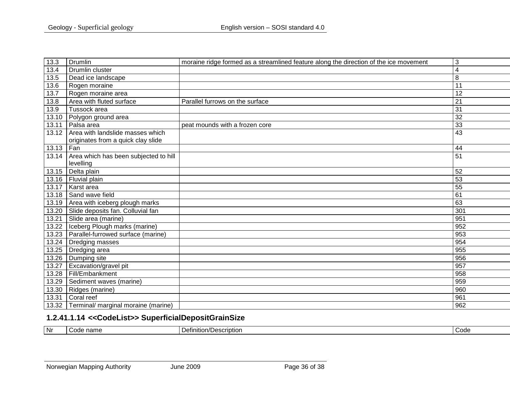| 13.3  | Drumlin                               | moraine ridge formed as a streamlined feature along the direction of the ice movement | 3               |
|-------|---------------------------------------|---------------------------------------------------------------------------------------|-----------------|
| 13.4  | Drumlin cluster                       |                                                                                       | 4               |
| 13.5  | Dead ice landscape                    |                                                                                       | 8               |
| 13.6  | Rogen moraine                         |                                                                                       | $\overline{11}$ |
| 13.7  | Rogen moraine area                    |                                                                                       | 12              |
| 13.8  | Area with fluted surface              | Parallel furrows on the surface                                                       | $\overline{21}$ |
| 13.9  | Tussock area                          |                                                                                       | 31              |
| 13.10 | Polygon ground area                   |                                                                                       | 32              |
| 13.11 | Palsa area                            | peat mounds with a frozen core                                                        | 33              |
| 13.12 | Area with landslide masses which      |                                                                                       | 43              |
|       | originates from a quick clay slide    |                                                                                       |                 |
| 13.13 | Fan                                   |                                                                                       | 44              |
| 13.14 | Area which has been subjected to hill |                                                                                       | 51              |
|       | levelling                             |                                                                                       |                 |
| 13.15 | Delta plain                           |                                                                                       | 52              |
| 13.16 | Fluvial plain                         |                                                                                       | 53              |
| 13.17 | Karst area                            |                                                                                       | 55              |
| 13.18 | Sand wave field                       |                                                                                       | 61              |
| 13.19 | Area with iceberg plough marks        |                                                                                       | 63              |
| 13.20 | Slide deposits fan. Colluvial fan     |                                                                                       | 301             |
| 13.21 | Slide area (marine)                   |                                                                                       | 951             |
| 13.22 | Iceberg Plough marks (marine)         |                                                                                       | 952             |
| 13.23 | Parallel-furrowed surface (marine)    |                                                                                       | 953             |
| 13.24 | Dredging masses                       |                                                                                       | 954             |
| 13.25 | Dredging area                         |                                                                                       | 955             |
| 13.26 | Dumping site                          |                                                                                       | 956             |
| 13.27 | Excavation/gravel pit                 |                                                                                       | 957             |
| 13.28 | Fill/Embankment                       |                                                                                       | 958             |
| 13.29 | Sediment waves (marine)               |                                                                                       | 959             |
| 13.30 | Ridges (marine)                       |                                                                                       | 960             |
| 13.31 | Coral reef                            |                                                                                       | 961             |
| 13.32 | Terminal/ marginal moraine (marine)   |                                                                                       | 962             |

# **1.2.41.1.14 <<CodeList>> SuperficialDepositGrainSize**

<span id="page-35-0"></span>

| . Nr | ^^<br>nnme<br>чанк | ription.<br>$\sim$ | Code |
|------|--------------------|--------------------|------|
|------|--------------------|--------------------|------|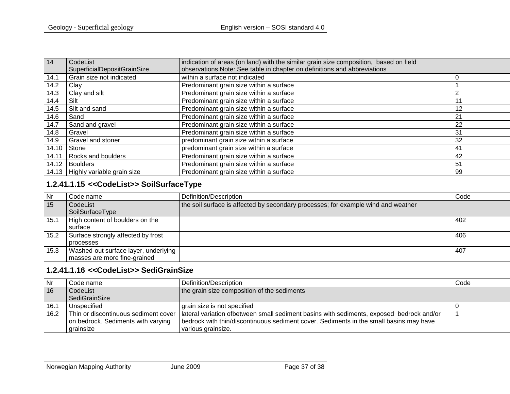| 14    | CodeList                           | indication of areas (on land) with the similar grain size composition, based on field |    |
|-------|------------------------------------|---------------------------------------------------------------------------------------|----|
|       | <b>SuperficialDepositGrainSize</b> | observations Note: See table in chapter on definitions and abbreviations              |    |
| 14.1  | Grain size not indicated           | within a surface not indicated                                                        |    |
| 14.2  | Clay                               | Predominant grain size within a surface                                               |    |
| 14.3  | Clay and silt                      | Predominant grain size within a surface                                               |    |
| 14.4  | Silt                               | Predominant grain size within a surface                                               |    |
| 14.5  | Silt and sand                      | Predominant grain size within a surface                                               | 12 |
| 14.6  | Sand                               | Predominant grain size within a surface                                               | 21 |
| 14.7  | Sand and gravel                    | Predominant grain size within a surface                                               | 22 |
| 14.8  | Gravel                             | Predominant grain size within a surface                                               | 31 |
| 14.9  | <b>Gravel and stoner</b>           | predominant grain size within a surface                                               | 32 |
| 14.10 | Stone                              | predominant grain size within a surface                                               | 41 |
| 14.11 | Rocks and boulders                 | Predominant grain size within a surface                                               | 42 |
| 14.12 | Boulders                           | Predominant grain size within a surface                                               | 51 |
|       | 14.13 Highly variable grain size   | Predominant grain size within a surface                                               | 99 |

# **1.2.41.1.15 <<CodeList>> SoilSurfaceType**

| <b>Nr</b> | Code name                            | Definition/Description                                                            | Code |
|-----------|--------------------------------------|-----------------------------------------------------------------------------------|------|
| 15        | CodeList                             | the soil surface is affected by secondary processes; for example wind and weather |      |
|           | SoilSurfaceType                      |                                                                                   |      |
| 15.1      | High content of boulders on the      |                                                                                   | 402  |
|           | surface                              |                                                                                   |      |
| 15.2      | Surface strongly affected by frost   |                                                                                   | 406  |
|           | processes                            |                                                                                   |      |
| 15.3      | Washed-out surface layer, underlying |                                                                                   | 407  |
|           | masses are more fine-grained         |                                                                                   |      |

#### **1.2.41.1.16 <<CodeList>> SediGrainSize**

<span id="page-36-1"></span><span id="page-36-0"></span>

| Nr   | Code name                            | Definition/Description                                                                     | Code |
|------|--------------------------------------|--------------------------------------------------------------------------------------------|------|
| 16   | CodeList                             | the grain size composition of the sediments                                                |      |
|      | SediGrainSize                        |                                                                                            |      |
| 16.1 | Unspecified                          | grain size is not specified                                                                |      |
| 16.2 | Thin or discontinuous sediment cover | I lateral variation ofbetween small sediment basins with sediments, exposed bedrock and/or |      |
|      | on bedrock. Sediments with varying   | bedrock with thin/discontinuous sediment cover. Sediments in the small basins may have     |      |
|      | grainsize                            | various grainsize.                                                                         |      |